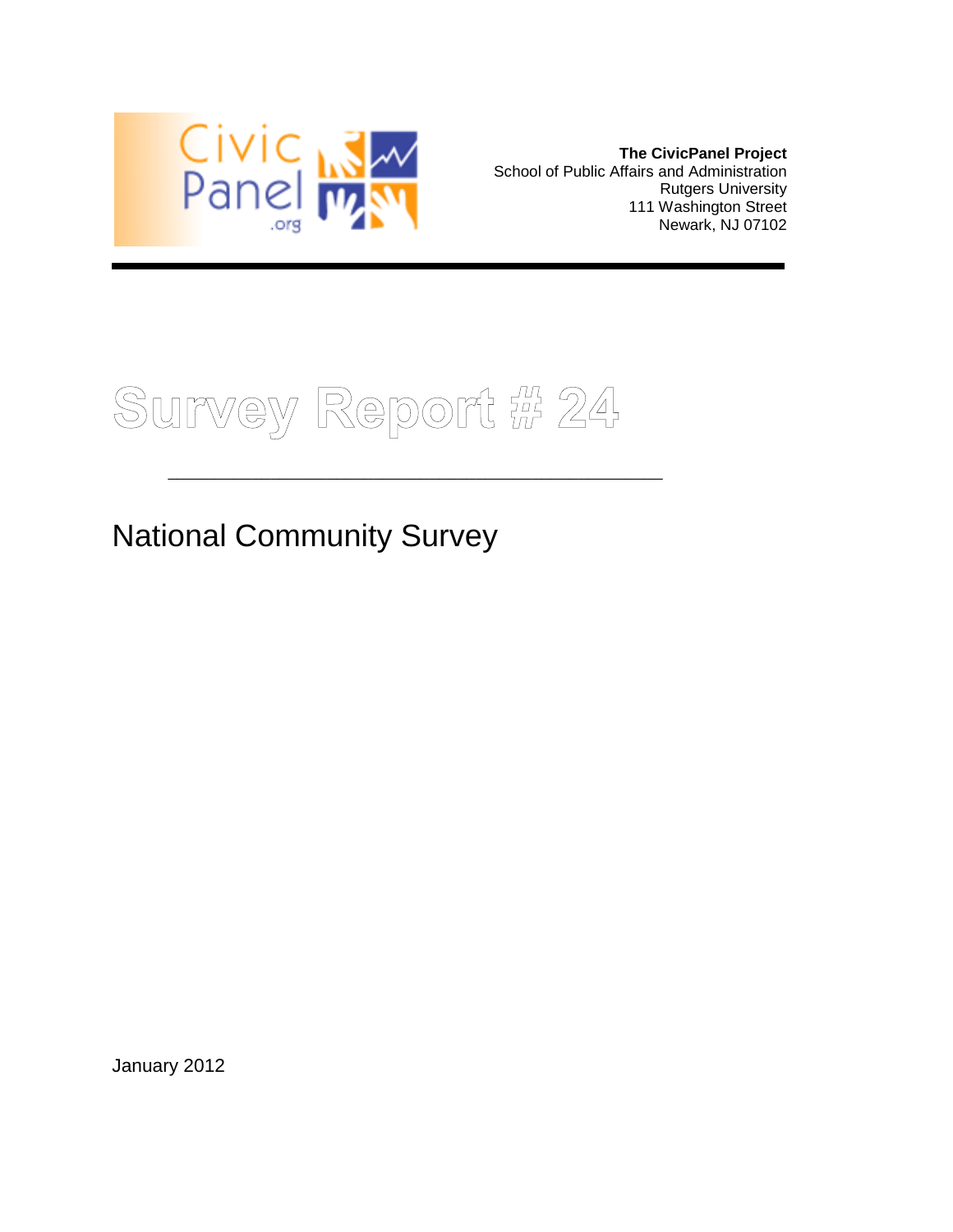

**The CivicPanel Project** School of Public Affairs and Administration Rutgers University 111 Washington Street Newark, NJ 07102

Survey Report # 24

\_\_\_\_\_\_\_\_\_\_\_\_\_\_\_\_\_\_\_\_\_\_\_\_\_\_\_\_\_\_\_\_\_\_\_\_\_\_\_\_\_\_\_\_\_\_\_\_\_\_\_\_\_

## National Community Survey

January 2012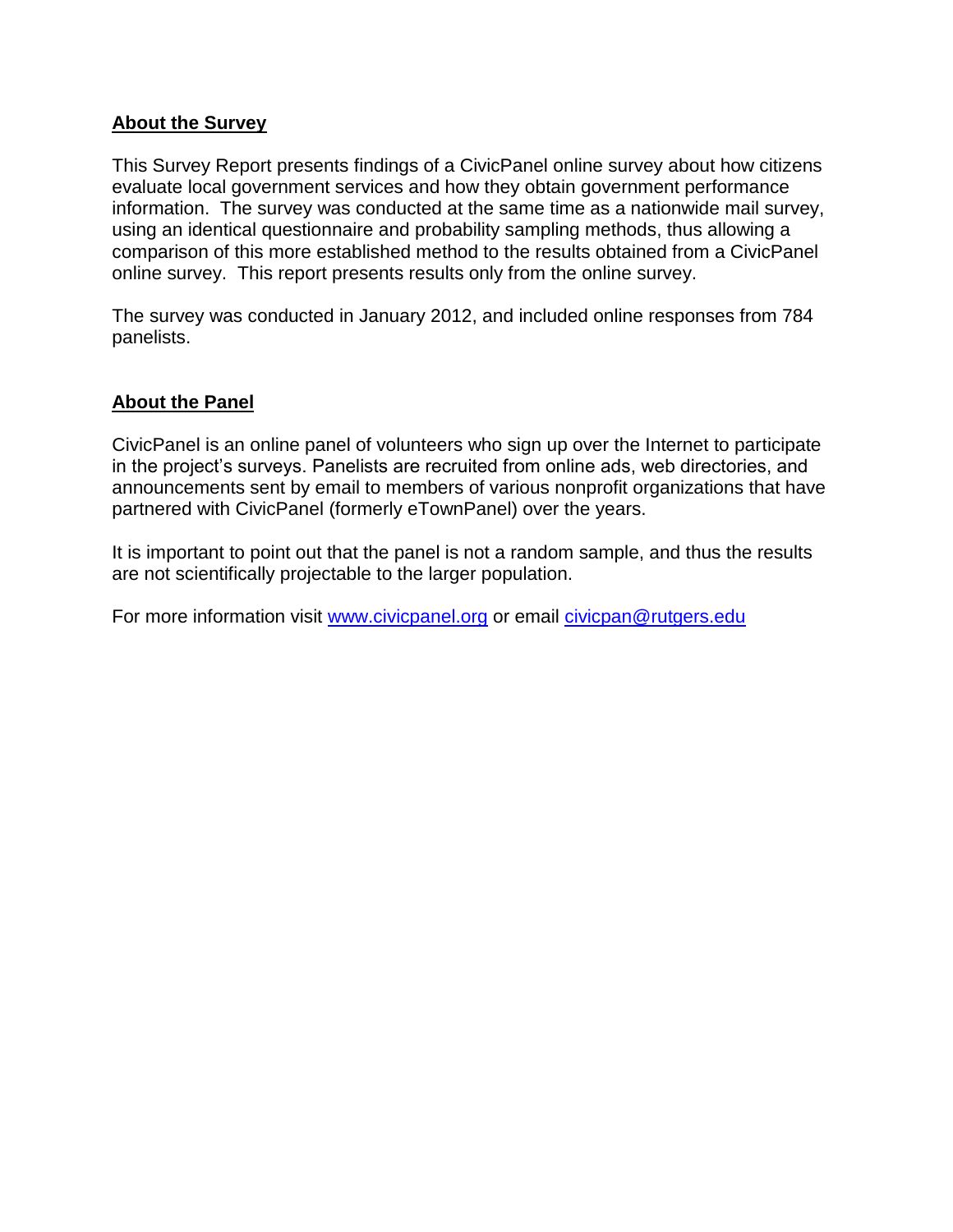#### **About the Survey**

This Survey Report presents findings of a CivicPanel online survey about how citizens evaluate local government services and how they obtain government performance information. The survey was conducted at the same time as a nationwide mail survey, using an identical questionnaire and probability sampling methods, thus allowing a comparison of this more established method to the results obtained from a CivicPanel online survey. This report presents results only from the online survey.

The survey was conducted in January 2012, and included online responses from 784 panelists.

#### **About the Panel**

CivicPanel is an online panel of volunteers who sign up over the Internet to participate in the project's surveys. Panelists are recruited from online ads, web directories, and announcements sent by email to members of various nonprofit organizations that have partnered with CivicPanel (formerly eTownPanel) over the years.

It is important to point out that the panel is not a random sample, and thus the results are not scientifically projectable to the larger population.

For more information visit [www.civicpanel.org](http://www.civicpanel.org/) or email [civicpan@rutgers.edu](mailto:civicpan@rutgers.edu)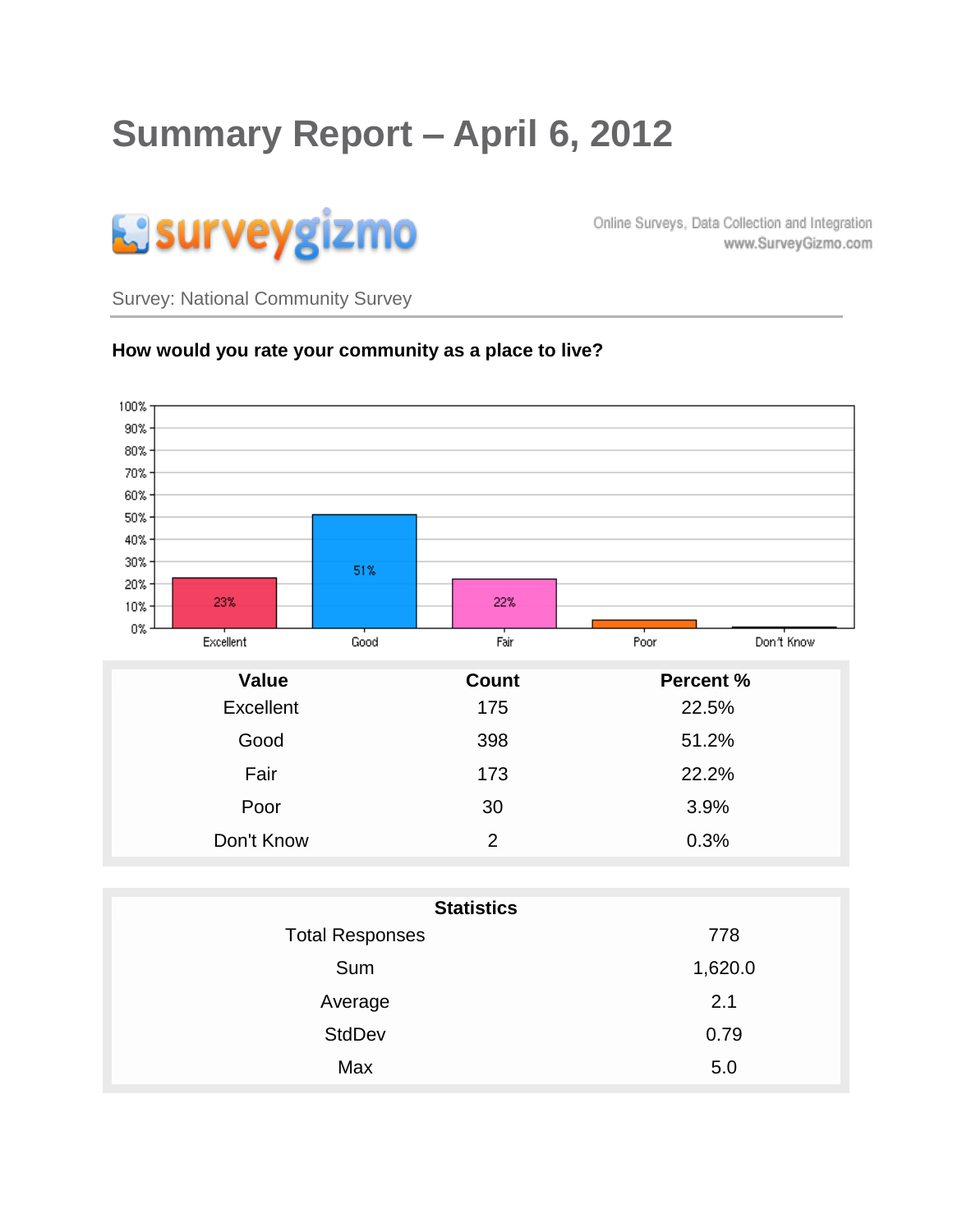# **Summary Report – April 6, 2012**



Online Surveys, Data Collection and Integration www.SurveyGizmo.com

Survey: National Community Survey

#### **How would you rate your community as a place to live?**



| <b>Statistics</b>      |         |  |  |  |
|------------------------|---------|--|--|--|
| <b>Total Responses</b> | 778     |  |  |  |
| Sum                    | 1,620.0 |  |  |  |
| Average                | 2.1     |  |  |  |
| <b>StdDev</b>          | 0.79    |  |  |  |
| Max                    | 5.0     |  |  |  |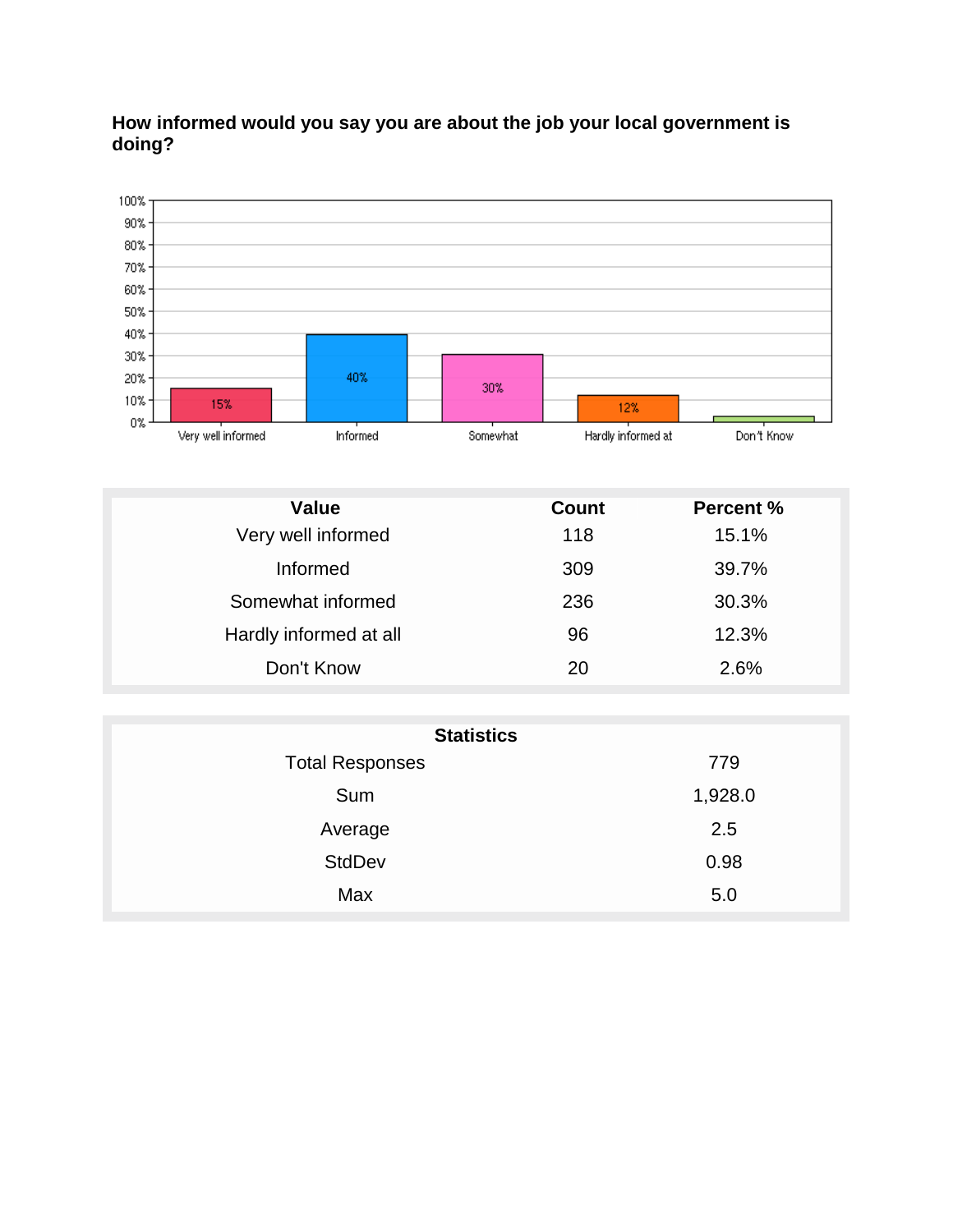

#### **How informed would you say you are about the job your local government is doing?**

| <b>Value</b>           | <b>Count</b> | <b>Percent %</b> |
|------------------------|--------------|------------------|
| Very well informed     | 118          | 15.1%            |
| Informed               | 309          | 39.7%            |
| Somewhat informed      | 236          | 30.3%            |
| Hardly informed at all | 96           | 12.3%            |
| Don't Know             | 20           | 2.6%             |

| <b>Statistics</b>      |         |  |  |
|------------------------|---------|--|--|
| <b>Total Responses</b> | 779     |  |  |
| Sum                    | 1,928.0 |  |  |
| Average                | 2.5     |  |  |
| <b>StdDev</b>          | 0.98    |  |  |
| Max                    | 5.0     |  |  |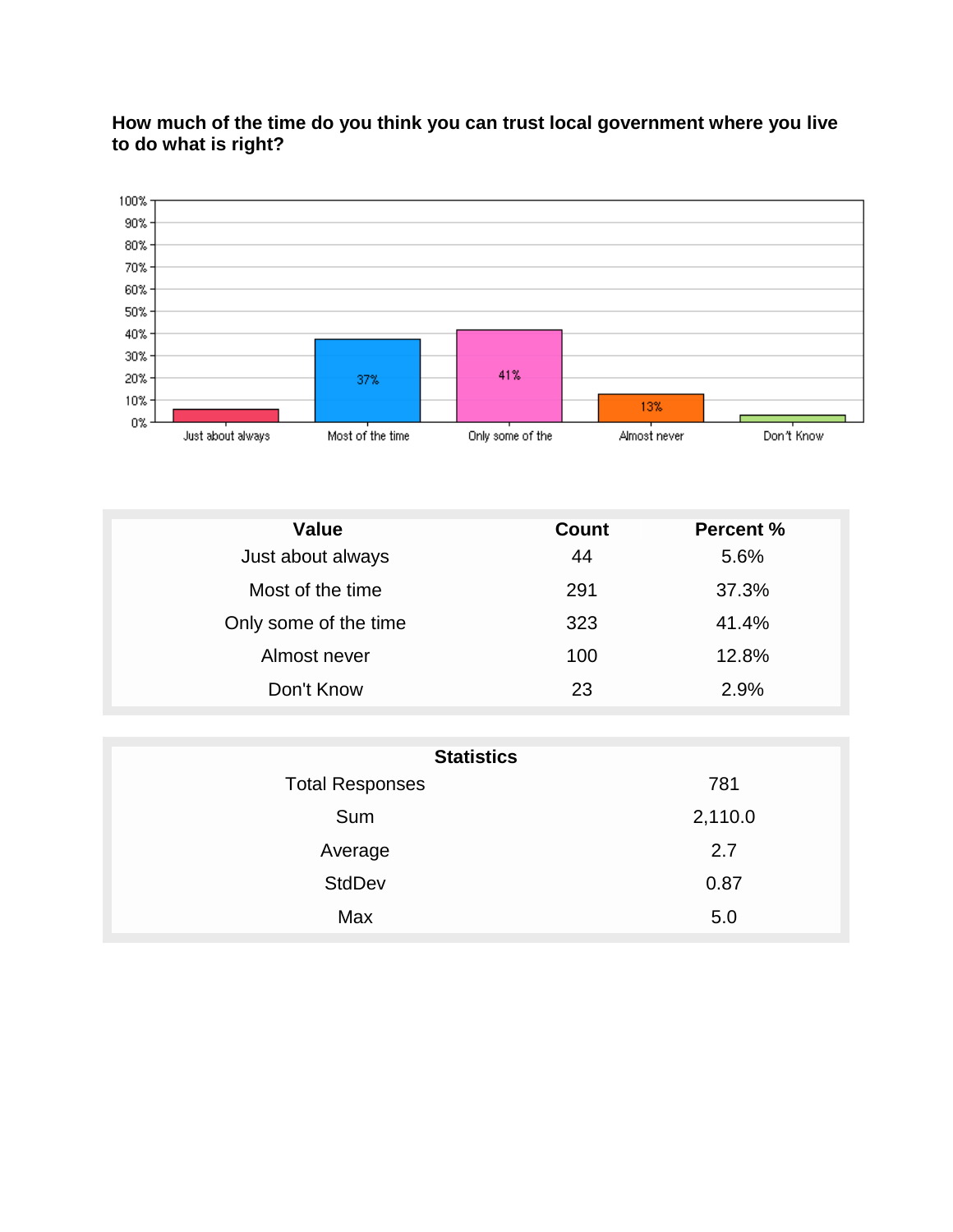

#### **How much of the time do you think you can trust local government where you live to do what is right?**

| <b>Value</b>          | <b>Count</b> | <b>Percent %</b> |
|-----------------------|--------------|------------------|
| Just about always     | 44           | 5.6%             |
| Most of the time      | 291          | 37.3%            |
| Only some of the time | 323          | 41.4%            |
| Almost never          | 100          | 12.8%            |
| Don't Know            | 23           | 2.9%             |

| <b>Statistics</b>      |         |  |  |
|------------------------|---------|--|--|
| <b>Total Responses</b> | 781     |  |  |
| Sum                    | 2,110.0 |  |  |
| Average                | 2.7     |  |  |
| <b>StdDev</b>          | 0.87    |  |  |
| Max                    | 5.0     |  |  |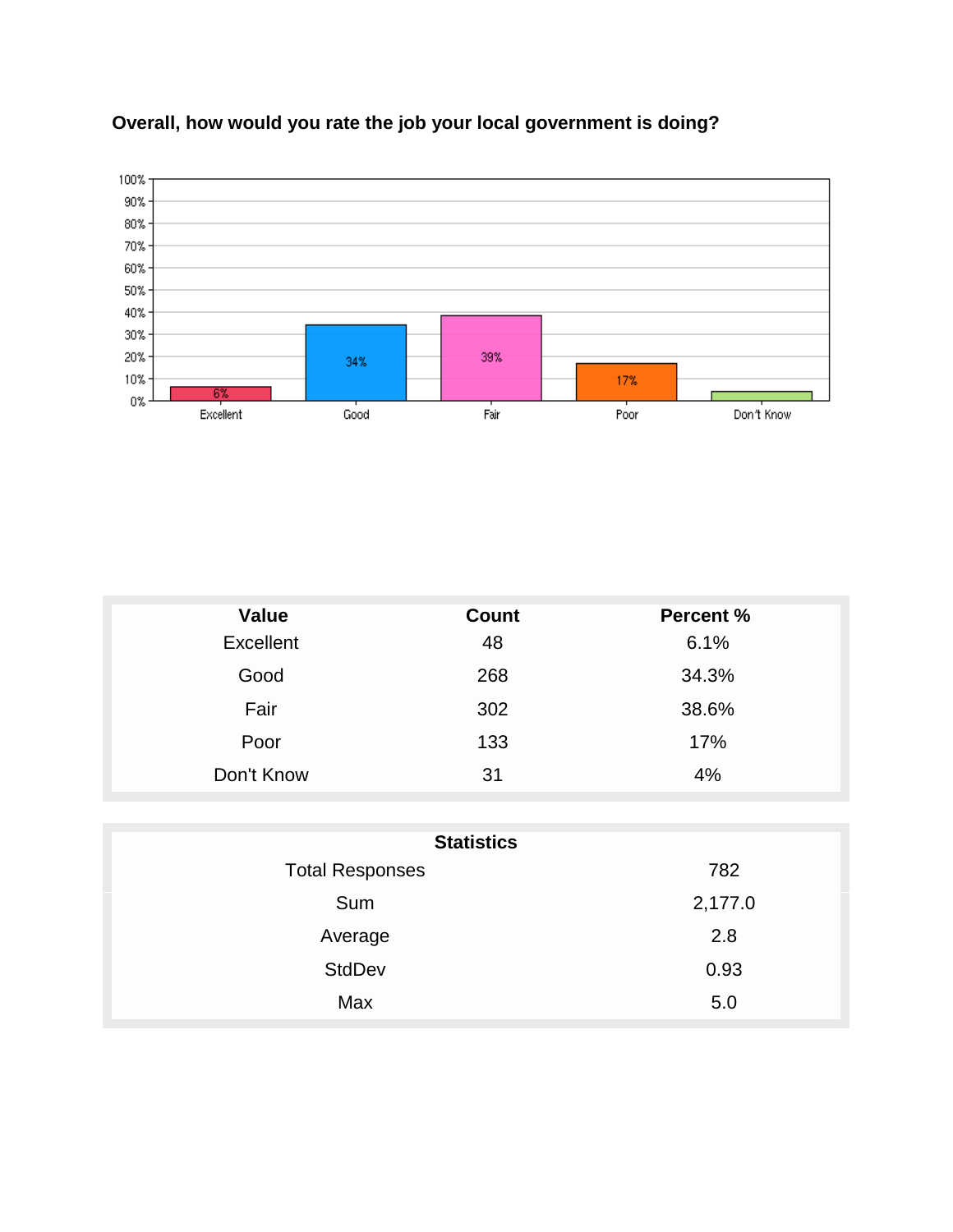

## **Overall, how would you rate the job your local government is doing?**

| <b>Value</b>     | <b>Count</b> | <b>Percent %</b> |
|------------------|--------------|------------------|
| <b>Excellent</b> | 48           | 6.1%             |
| Good             | 268          | 34.3%            |
| Fair             | 302          | 38.6%            |
| Poor             | 133          | 17%              |
| Don't Know       | 31           | 4%               |

| <b>Statistics</b>      |         |  |  |  |
|------------------------|---------|--|--|--|
| <b>Total Responses</b> | 782     |  |  |  |
| Sum                    | 2,177.0 |  |  |  |
| Average                | 2.8     |  |  |  |
| <b>StdDev</b>          | 0.93    |  |  |  |
| Max                    | 5.0     |  |  |  |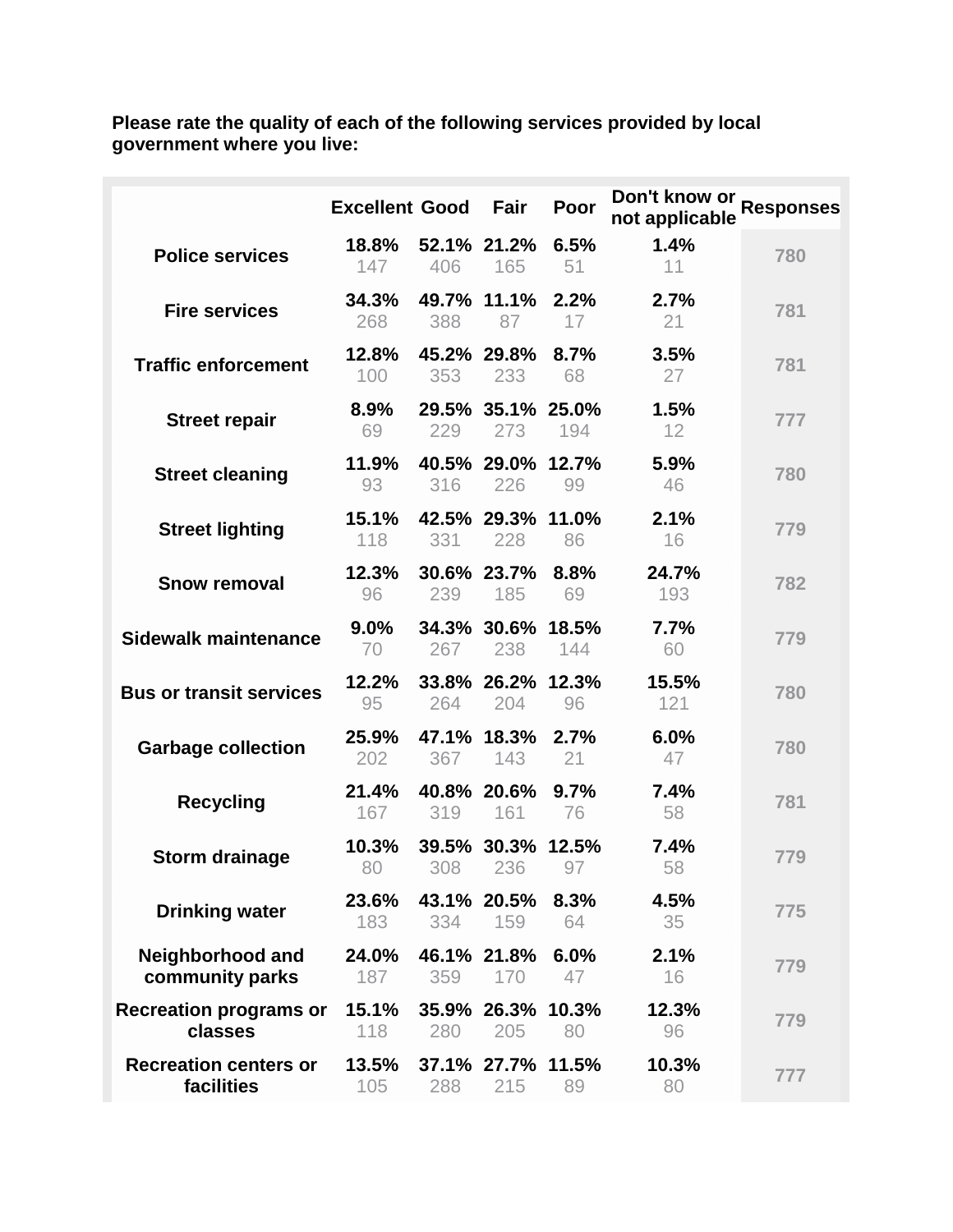**Please rate the quality of each of the following services provided by local government where you live:**

|                                            | <b>Excellent Good</b> |     | Fair                     | Poor        | Don't know or Responses<br>not applicable |     |
|--------------------------------------------|-----------------------|-----|--------------------------|-------------|-------------------------------------------|-----|
| <b>Police services</b>                     | 18.8%<br>147          | 406 | 52.1% 21.2%<br>165       | 6.5%<br>51  | 1.4%<br>11                                | 780 |
| <b>Fire services</b>                       | 34.3%<br>268          | 388 | 49.7% 11.1%<br>87        | 2.2%<br>17  | 2.7%<br>21                                | 781 |
| <b>Traffic enforcement</b>                 | 12.8%<br>100          | 353 | 45.2% 29.8%<br>233       | 8.7%<br>68  | 3.5%<br>27                                | 781 |
| <b>Street repair</b>                       | 8.9%<br>69            | 229 | 29.5% 35.1% 25.0%<br>273 | 194         | 1.5%<br>12                                | 777 |
| <b>Street cleaning</b>                     | 11.9%<br>93           | 316 | 40.5% 29.0% 12.7%<br>226 | 99          | 5.9%<br>46                                | 780 |
| <b>Street lighting</b>                     | 15.1%<br>118          | 331 | 42.5% 29.3% 11.0%<br>228 | 86          | 2.1%<br>16                                | 779 |
| <b>Snow removal</b>                        | 12.3%<br>96           | 239 | 30.6% 23.7%<br>185       | 8.8%<br>69  | 24.7%<br>193                              | 782 |
| <b>Sidewalk maintenance</b>                | $9.0\%$<br>70         | 267 | 34.3% 30.6% 18.5%<br>238 | 144         | 7.7%<br>60                                | 779 |
| <b>Bus or transit services</b>             | 12.2%<br>95           | 264 | 33.8% 26.2% 12.3%<br>204 | 96          | 15.5%<br>121                              | 780 |
| <b>Garbage collection</b>                  | 25.9%<br>202          | 367 | 47.1% 18.3%<br>143       | 2.7%<br>21  | 6.0%<br>47                                | 780 |
| <b>Recycling</b>                           | 21.4%<br>167          | 319 | 40.8% 20.6%<br>161       | 9.7%<br>76  | 7.4%<br>58                                | 781 |
| <b>Storm drainage</b>                      | 10.3%<br>80           | 308 | 39.5% 30.3%<br>236       | 12.5%<br>97 | 7.4%<br>58                                | 779 |
| <b>Drinking water</b>                      | 23.6%<br>183          | 334 | 43.1% 20.5%<br>159       | 8.3%<br>64  | 4.5%<br>35                                | 775 |
| <b>Neighborhood and</b><br>community parks | 24.0%<br>187          | 359 | 46.1% 21.8%<br>170       | 6.0%<br>47  | 2.1%<br>16                                | 779 |
| <b>Recreation programs or</b><br>classes   | 15.1%<br>118          | 280 | 35.9% 26.3% 10.3%<br>205 | 80          | 12.3%<br>96                               | 779 |
| <b>Recreation centers or</b><br>facilities | 13.5%<br>105          | 288 | 37.1% 27.7% 11.5%<br>215 | 89          | 10.3%<br>80                               | 777 |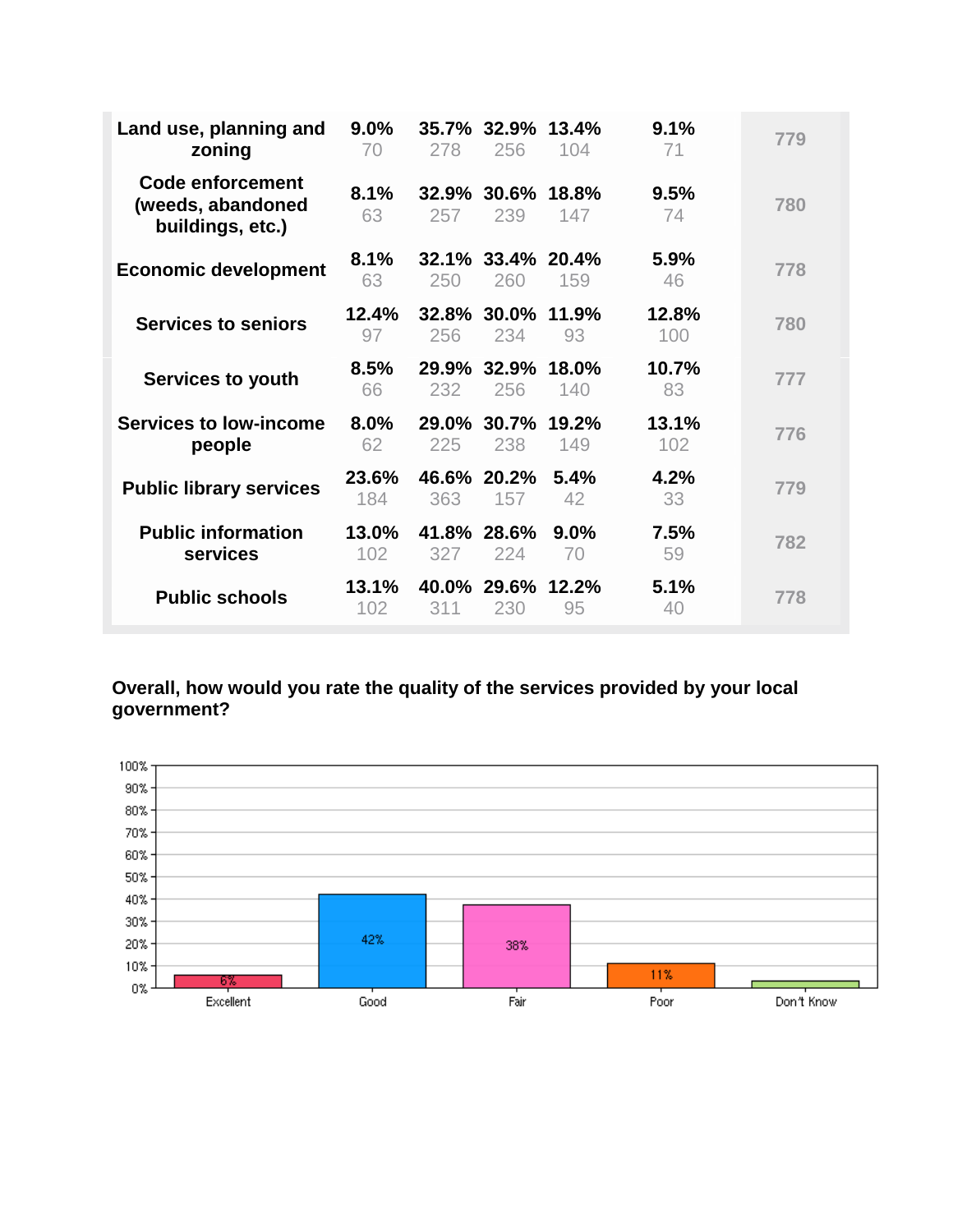| Land use, planning and<br>zoning                                 | 9.0%<br>70   | 278          | 35.7% 32.9%<br>256       | 13.4%<br>104  | 9.1%<br>71   | 779 |
|------------------------------------------------------------------|--------------|--------------|--------------------------|---------------|--------------|-----|
| <b>Code enforcement</b><br>(weeds, abandoned<br>buildings, etc.) | 8.1%<br>63   | 32.9%<br>257 | 30.6% 18.8%<br>239       | 147           | 9.5%<br>74   | 780 |
| <b>Economic development</b>                                      | 8.1%<br>63   | 250          | 32.1% 33.4% 20.4%<br>260 | 159           | 5.9%<br>46   | 778 |
| <b>Services to seniors</b>                                       | 12.4%<br>97  | 256          | 32.8% 30.0% 11.9%<br>234 | 93            | 12.8%<br>100 | 780 |
| Services to youth                                                | 8.5%<br>66   | 232          | 29.9% 32.9% 18.0%<br>256 | 140           | 10.7%<br>83  | 777 |
| <b>Services to low-income</b><br>people                          | 8.0%<br>62   | 29.0%<br>225 | 30.7% 19.2%<br>238       | 149           | 13.1%<br>102 | 776 |
| <b>Public library services</b>                                   | 23.6%<br>184 | 363          | 46.6% 20.2%<br>157       | 5.4%<br>42    | 4.2%<br>33   | 779 |
| <b>Public information</b><br>services                            | 13.0%<br>102 | 327          | 41.8% 28.6%<br>224       | $9.0\%$<br>70 | 7.5%<br>59   | 782 |
| <b>Public schools</b>                                            | 13.1%<br>102 | 311          | 40.0% 29.6%<br>230       | 12.2%<br>95   | 5.1%<br>40   | 778 |

#### **Overall, how would you rate the quality of the services provided by your local government?**

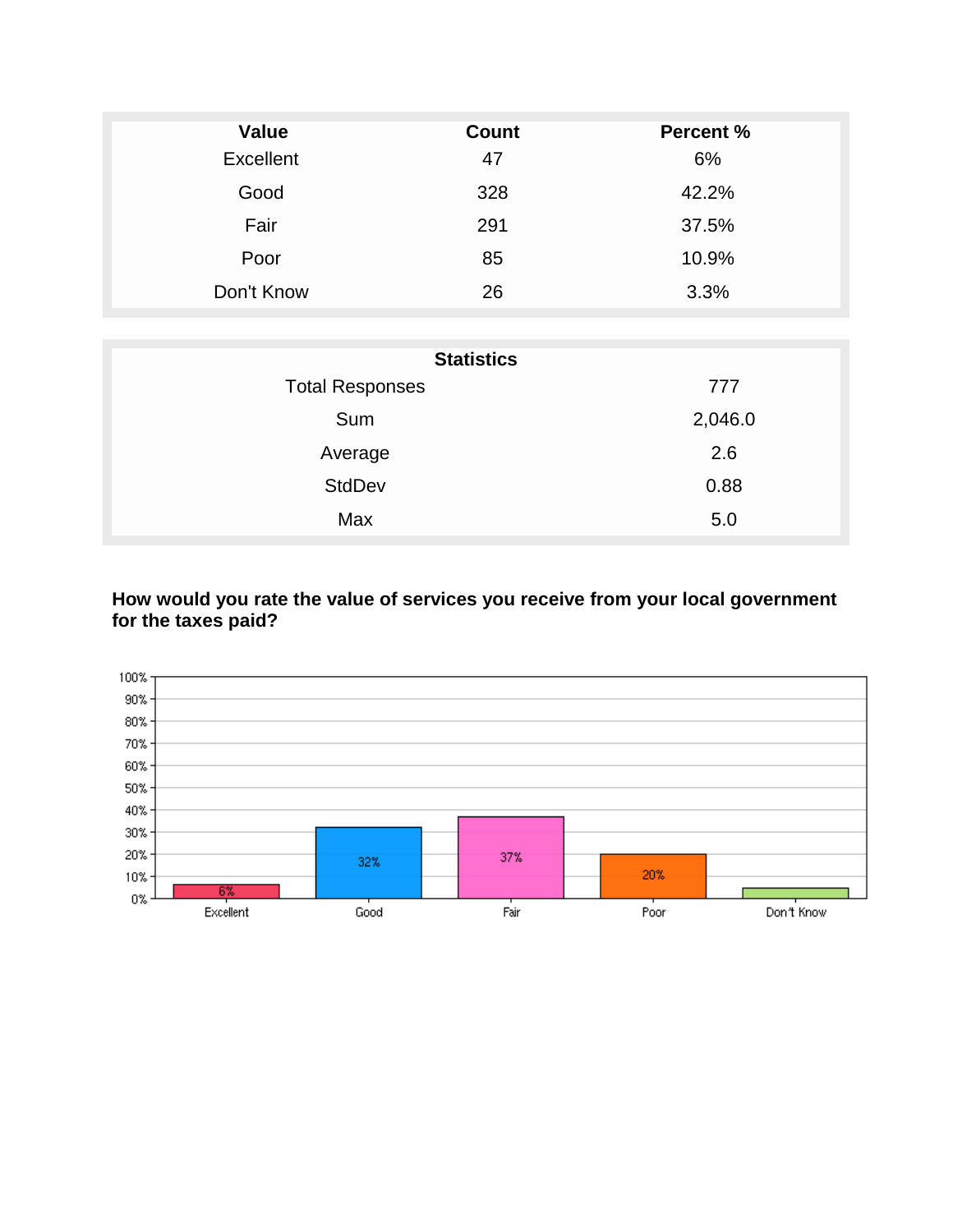| Value            | <b>Count</b> | <b>Percent %</b> |
|------------------|--------------|------------------|
| <b>Excellent</b> | 47           | 6%               |
| Good             | 328          | 42.2%            |
| Fair             | 291          | 37.5%            |
| Poor             | 85           | 10.9%            |
| Don't Know       | 26           | 3.3%             |

| <b>Statistics</b>      |         |  |  |  |
|------------------------|---------|--|--|--|
| <b>Total Responses</b> | 777     |  |  |  |
| Sum                    | 2,046.0 |  |  |  |
| Average                | 2.6     |  |  |  |
| <b>StdDev</b>          | 0.88    |  |  |  |
| Max                    | 5.0     |  |  |  |

#### **How would you rate the value of services you receive from your local government for the taxes paid?**

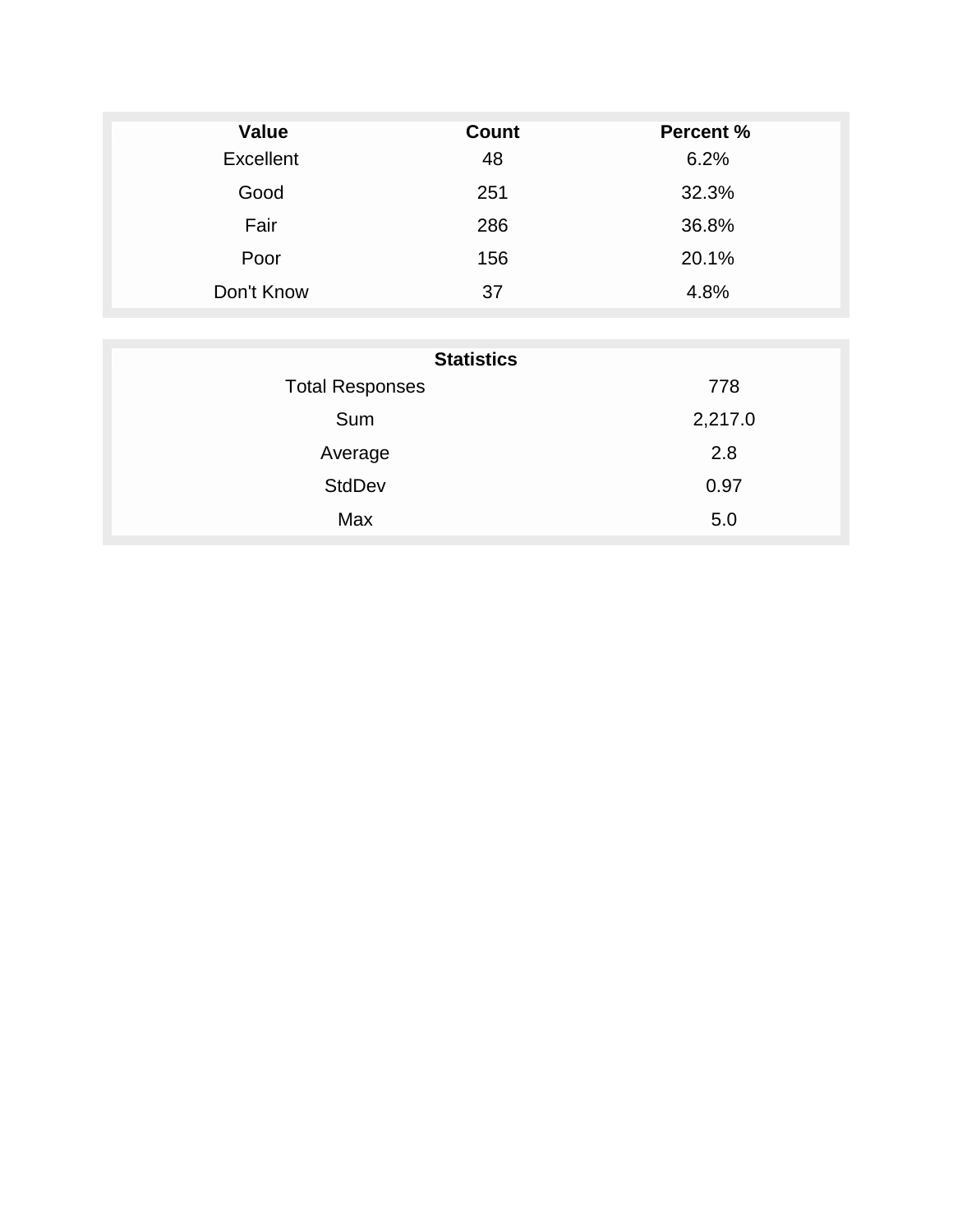| <b>Value</b> | <b>Count</b> | <b>Percent %</b> |
|--------------|--------------|------------------|
| Excellent    | 48           | 6.2%             |
| Good         | 251          | 32.3%            |
| Fair         | 286          | 36.8%            |
| Poor         | 156          | 20.1%            |
| Don't Know   | 37           | 4.8%             |

| <b>Statistics</b>      |         |  |  |  |  |
|------------------------|---------|--|--|--|--|
| <b>Total Responses</b> | 778     |  |  |  |  |
| Sum                    | 2,217.0 |  |  |  |  |
| Average                | 2.8     |  |  |  |  |
| <b>StdDev</b>          | 0.97    |  |  |  |  |
| Max                    | 5.0     |  |  |  |  |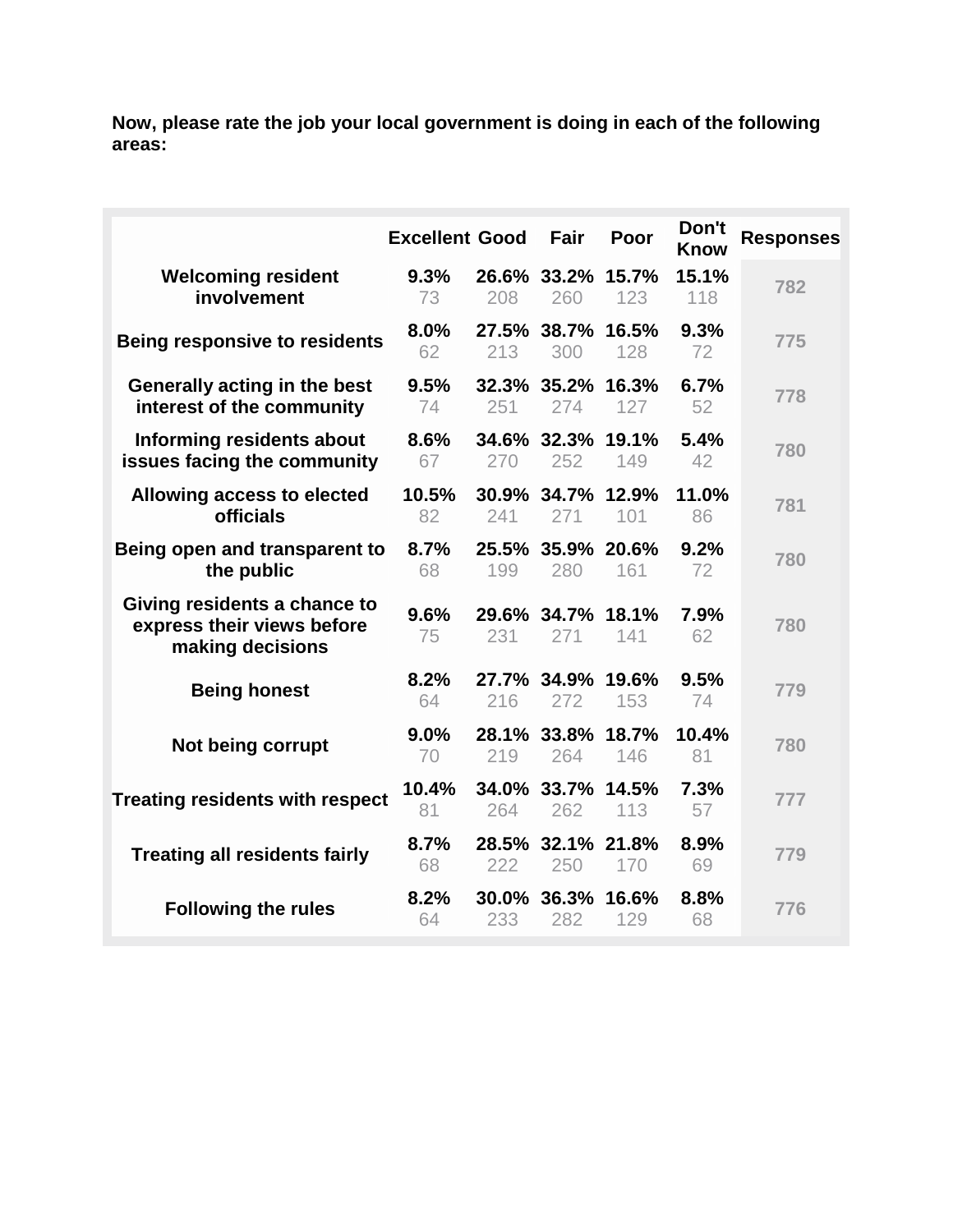**Now, please rate the job your local government is doing in each of the following areas:**

|                                                                                | <b>Excellent Good</b> |              | Fair                     | Poor | Don't<br><b>Know</b> | <b>Responses</b> |
|--------------------------------------------------------------------------------|-----------------------|--------------|--------------------------|------|----------------------|------------------|
| <b>Welcoming resident</b><br>involvement                                       | 9.3%<br>73            | 208          | 26.6% 33.2% 15.7%<br>260 | 123  | 15.1%<br>118         | 782              |
| <b>Being responsive to residents</b>                                           | 8.0%<br>62            | 213          | 27.5% 38.7% 16.5%<br>300 | 128  | 9.3%<br>72           | 775              |
| Generally acting in the best<br>interest of the community                      | 9.5%<br>74            | 251          | 32.3% 35.2% 16.3%<br>274 | 127  | 6.7%<br>52           | 778              |
| Informing residents about<br>issues facing the community                       | 8.6%<br>67            | 270          | 34.6% 32.3% 19.1%<br>252 | 149  | 5.4%<br>42           | 780              |
| Allowing access to elected<br>officials                                        | 10.5%<br>82           | 241          | 30.9% 34.7% 12.9%<br>271 | 101  | 11.0%<br>86          | 781              |
| Being open and transparent to<br>the public                                    | 8.7%<br>68            | 199          | 25.5% 35.9% 20.6%<br>280 | 161  | 9.2%<br>72           | 780              |
| Giving residents a chance to<br>express their views before<br>making decisions | 9.6%<br>75            | 231          | 29.6% 34.7% 18.1%<br>271 | 141  | 7.9%<br>62           | 780              |
| <b>Being honest</b>                                                            | 8.2%<br>64            | 216          | 27.7% 34.9% 19.6%<br>272 | 153  | 9.5%<br>74           | 779              |
| Not being corrupt                                                              | 9.0%<br>70            | 219          | 28.1% 33.8% 18.7%<br>264 | 146  | 10.4%<br>81          | 780              |
| <b>Treating residents with respect</b>                                         | 10.4%<br>81           | 264          | 34.0% 33.7% 14.5%<br>262 | 113  | 7.3%<br>57           | 777              |
| <b>Treating all residents fairly</b>                                           | 8.7%<br>68            | 222          | 28.5% 32.1% 21.8%<br>250 | 170  | 8.9%<br>69           | 779              |
| <b>Following the rules</b>                                                     | 8.2%<br>64            | 30.0%<br>233 | 36.3% 16.6%<br>282       | 129  | 8.8%<br>68           | 776              |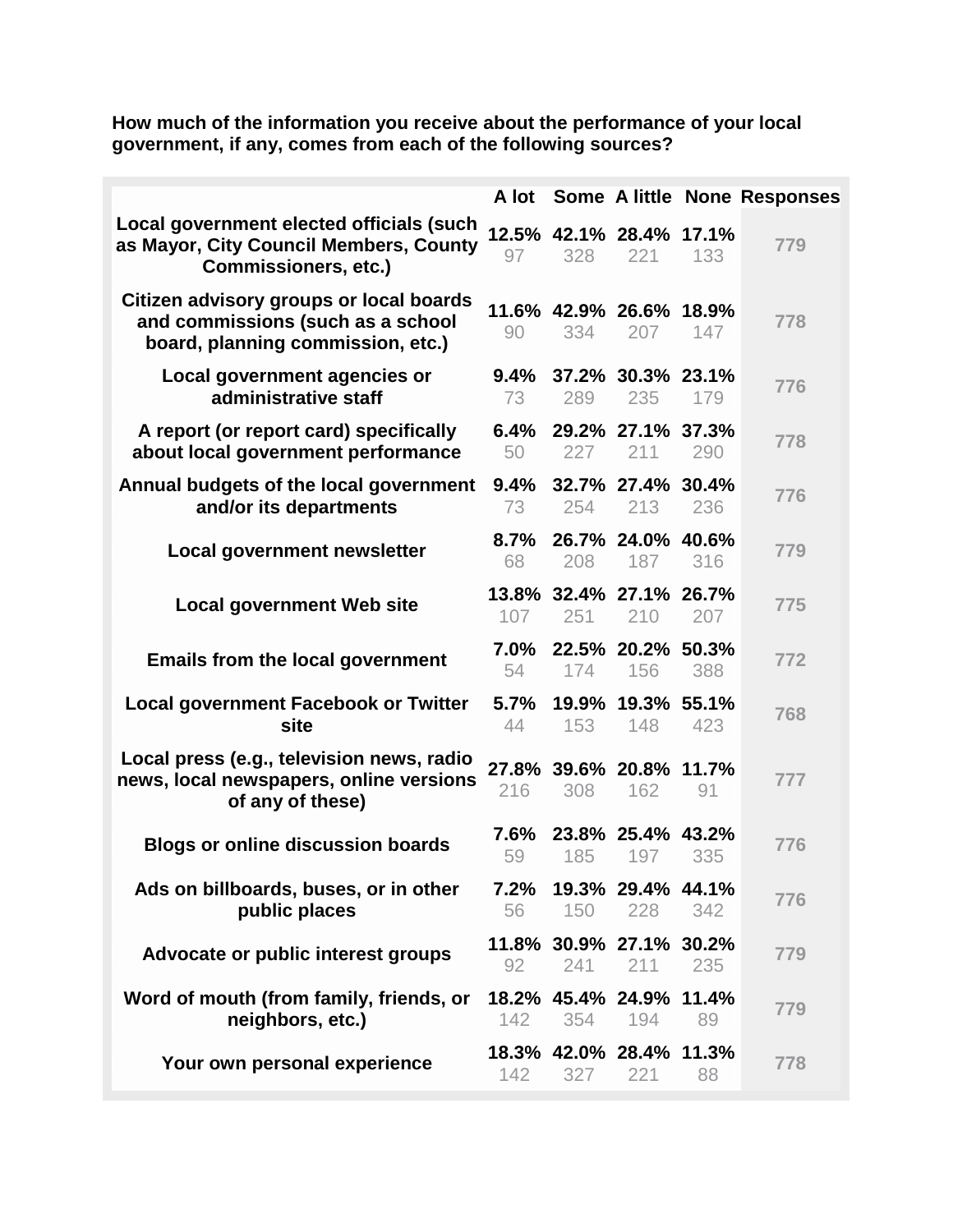**How much of the information you receive about the performance of your local government, if any, comes from each of the following sources?**

|                                                                                                                   | A lot         |     |                                |     | Some A little None Responses |
|-------------------------------------------------------------------------------------------------------------------|---------------|-----|--------------------------------|-----|------------------------------|
| Local government elected officials (such<br>as Mayor, City Council Members, County<br><b>Commissioners, etc.)</b> | 97            | 328 | 12.5% 42.1% 28.4% 17.1%<br>221 | 133 | 779                          |
| Citizen advisory groups or local boards<br>and commissions (such as a school<br>board, planning commission, etc.) | 90            | 334 | 11.6% 42.9% 26.6% 18.9%<br>207 | 147 | 778                          |
| Local government agencies or<br>administrative staff                                                              | $9.4\%$<br>73 | 289 | 37.2% 30.3% 23.1%<br>235       | 179 | 776                          |
| A report (or report card) specifically<br>about local government performance                                      | 50            | 227 | 6.4% 29.2% 27.1% 37.3%<br>211  | 290 | 778                          |
| Annual budgets of the local government<br>and/or its departments                                                  | 73            | 254 | 9.4% 32.7% 27.4% 30.4%<br>213  | 236 | 776                          |
| <b>Local government newsletter</b>                                                                                | 68            | 208 | 8.7% 26.7% 24.0% 40.6%<br>187  | 316 | 779                          |
| <b>Local government Web site</b>                                                                                  | 107           | 251 | 13.8% 32.4% 27.1% 26.7%<br>210 | 207 | 775                          |
| <b>Emails from the local government</b>                                                                           | 7.0%<br>54    | 174 | 22.5% 20.2% 50.3%<br>156       | 388 | 772                          |
| <b>Local government Facebook or Twitter</b><br>site                                                               | 5.7%<br>44    | 153 | 19.9% 19.3% 55.1%<br>148       | 423 | 768                          |
| Local press (e.g., television news, radio<br>news, local newspapers, online versions<br>of any of these)          | 216           | 308 | 27.8% 39.6% 20.8% 11.7%<br>162 | 91  | 777                          |
| <b>Blogs or online discussion boards</b>                                                                          | $7.6\%$<br>59 | 185 | 23.8% 25.4% 43.2%<br>197       | 335 | 776                          |
| Ads on billboards, buses, or in other<br>public places                                                            | 7.2%<br>56    | 150 | 19.3% 29.4% 44.1%<br>228       | 342 | 776                          |
| Advocate or public interest groups                                                                                | 92            | 241 | 11.8% 30.9% 27.1% 30.2%<br>211 | 235 | 779                          |
| Word of mouth (from family, friends, or<br>neighbors, etc.)                                                       | 142           | 354 | 18.2% 45.4% 24.9% 11.4%<br>194 | 89  | 779                          |
| Your own personal experience                                                                                      | 142           | 327 | 18.3% 42.0% 28.4% 11.3%<br>221 | 88  | 778                          |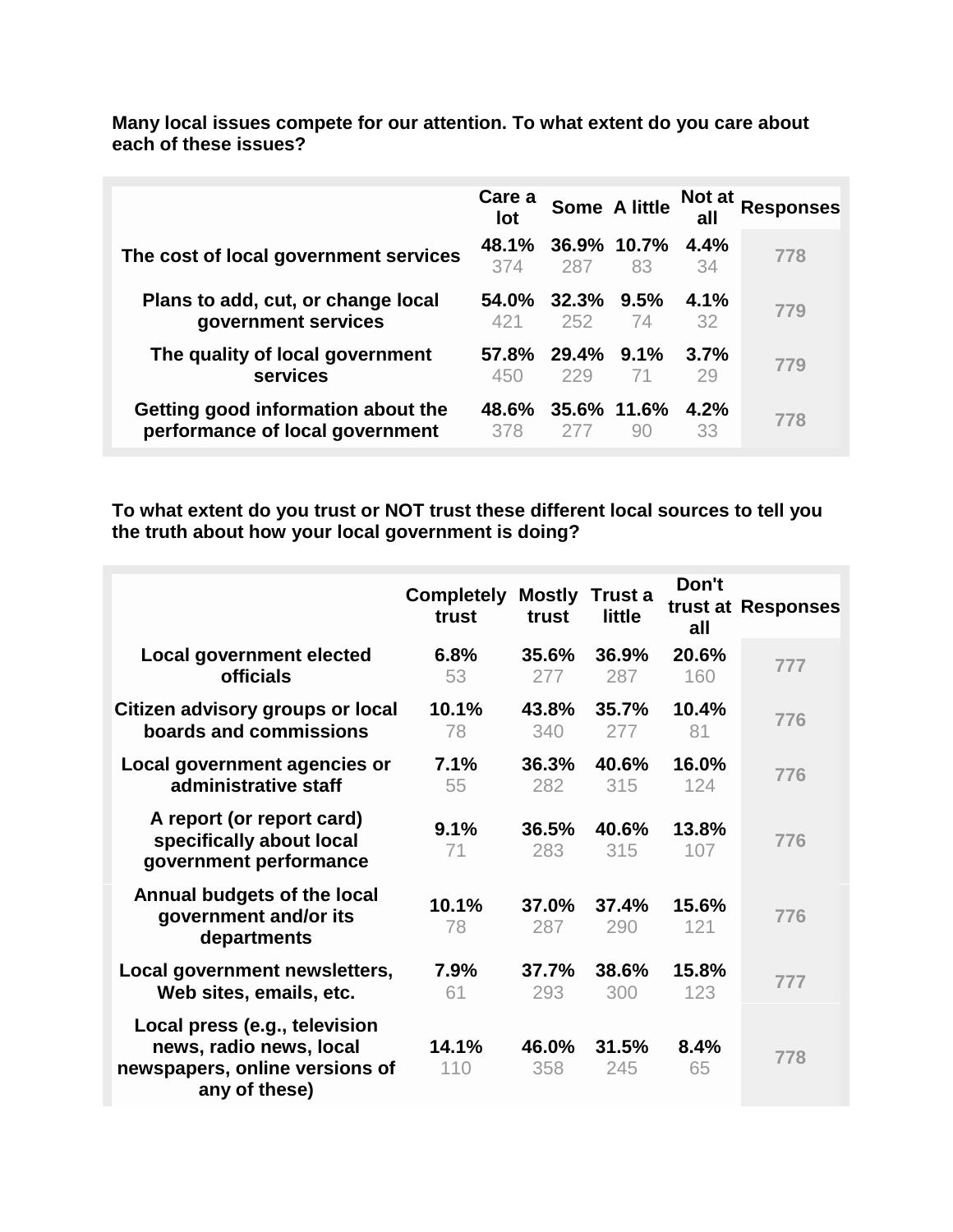|                                                                       | Care a<br>lot   |                      | Some A little        | <b>Not at</b><br>all | <b>Responses</b> |
|-----------------------------------------------------------------------|-----------------|----------------------|----------------------|----------------------|------------------|
| The cost of local government services                                 | 48.1%<br>374    | 36.9% 10.7%<br>287   | 83                   | 4.4%<br>34           | 778              |
| Plans to add, cut, or change local<br>government services             | 54.0%<br>421    | $32.3\%$ 9.5%<br>252 | 74                   | $4.1\%$<br>32        | 779              |
| The quality of local government<br>services                           | $57.8\%$<br>450 | 29.4% 9.1%<br>229    | 71                   | 3.7%<br>29           | 779              |
| Getting good information about the<br>performance of local government | 48.6%<br>378    |                      | $35.6\%$ 11.6%<br>90 | $4.2\%$<br>33        | 778              |

**Many local issues compete for our attention. To what extent do you care about each of these issues?**

**To what extent do you trust or NOT trust these different local sources to tell you the truth about how your local government is doing?**

|                                                                                                             | <b>Completely</b><br>trust | <b>Mostly</b><br>trust | Trust a<br>little | Don't<br>all | trust at Responses |
|-------------------------------------------------------------------------------------------------------------|----------------------------|------------------------|-------------------|--------------|--------------------|
| <b>Local government elected</b>                                                                             | 6.8%                       | 35.6%                  | 36.9%             | 20.6%        | 777                |
| <b>officials</b>                                                                                            | 53                         | 277                    | 287               | 160          |                    |
| Citizen advisory groups or local                                                                            | 10.1%                      | 43.8%                  | 35.7%             | 10.4%        | 776                |
| boards and commissions                                                                                      | 78                         | 340                    | 277               | 81           |                    |
| Local government agencies or                                                                                | 7.1%                       | 36.3%                  | 40.6%             | 16.0%        | 776                |
| administrative staff                                                                                        | 55                         | 282                    | 315               | 124          |                    |
| A report (or report card)<br>specifically about local<br>government performance                             | 9.1%<br>71                 | 36.5%<br>283           | 40.6%<br>315      | 13.8%<br>107 | 776                |
| Annual budgets of the local<br>government and/or its<br>departments                                         | 10.1%<br>78                | 37.0%<br>287           | 37.4%<br>290      | 15.6%<br>121 | 776                |
| Local government newsletters,                                                                               | 7.9%                       | 37.7%                  | 38.6%             | 15.8%        | 777                |
| Web sites, emails, etc.                                                                                     | 61                         | 293                    | 300               | 123          |                    |
| Local press (e.g., television<br>news, radio news, local<br>newspapers, online versions of<br>any of these) | 14.1%<br>110               | 46.0%<br>358           | 31.5%<br>245      | 8.4%<br>65   | 778                |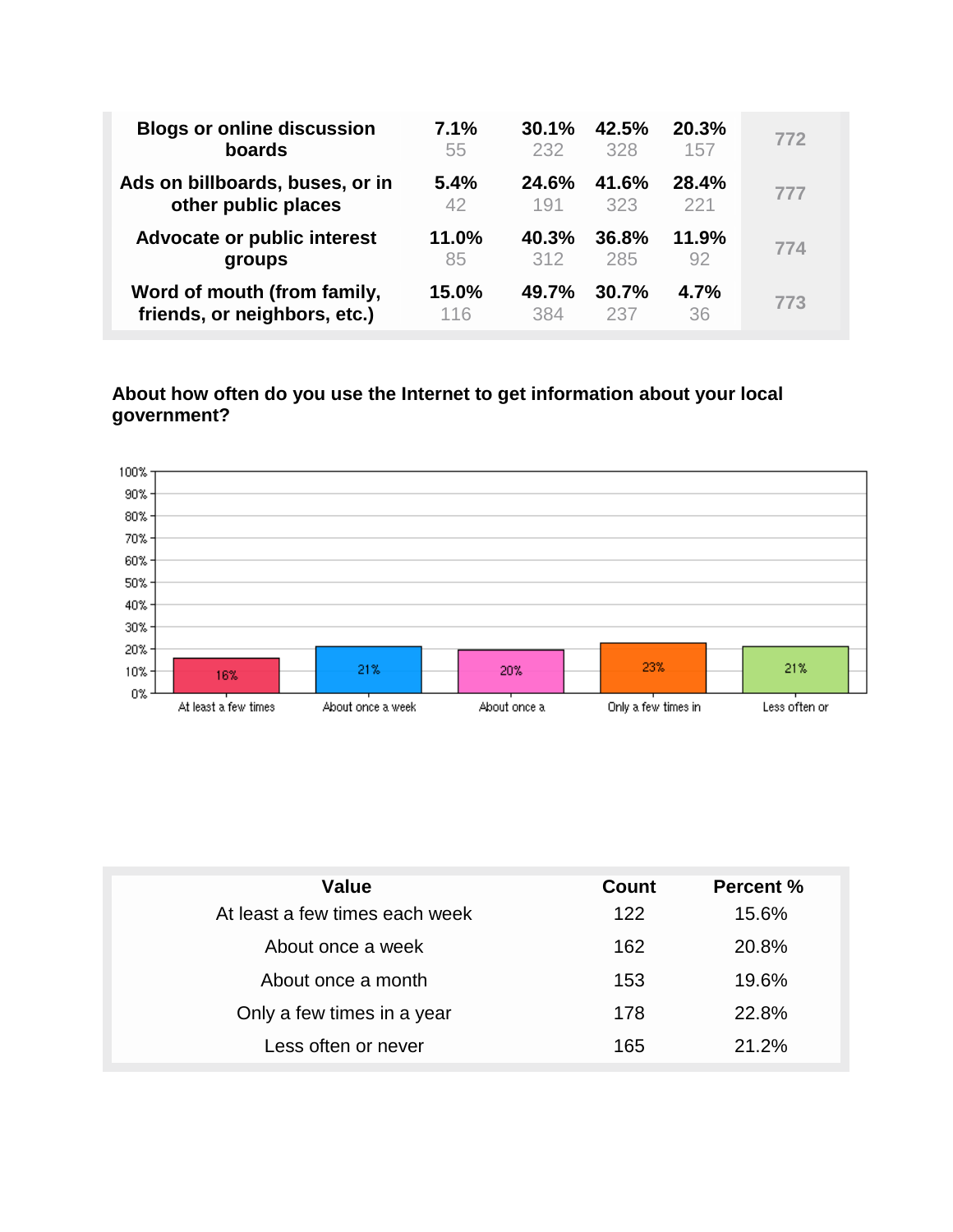| <b>Blogs or online discussion</b> | 7.1%  | 30.1% | 42.5% | 20.3%        | 772 |
|-----------------------------------|-------|-------|-------|--------------|-----|
| boards                            | 55    | 232   | 328   | 157          |     |
| Ads on billboards, buses, or in   | 5.4%  | 24.6% | 41.6% | <b>28.4%</b> | 777 |
| other public places               | 42    | 191   | 323   | 221          |     |
| Advocate or public interest       | 11.0% | 40.3% | 36.8% | 11.9%        | 774 |
| groups                            | 85    | 312   | 285   | 92           |     |
| Word of mouth (from family,       | 15.0% | 49.7% | 30.7% | 4.7%         | 773 |
| friends, or neighbors, etc.)      | 116   | 384   | 237   | 36           |     |

#### **About how often do you use the Internet to get information about your local government?**



| Value                          | Count | <b>Percent %</b> |
|--------------------------------|-------|------------------|
| At least a few times each week | 122   | 15.6%            |
| About once a week              | 162   | 20.8%            |
| About once a month             | 153   | 19.6%            |
| Only a few times in a year     | 178   | 22.8%            |
| Less often or never            | 165   | 21.2%            |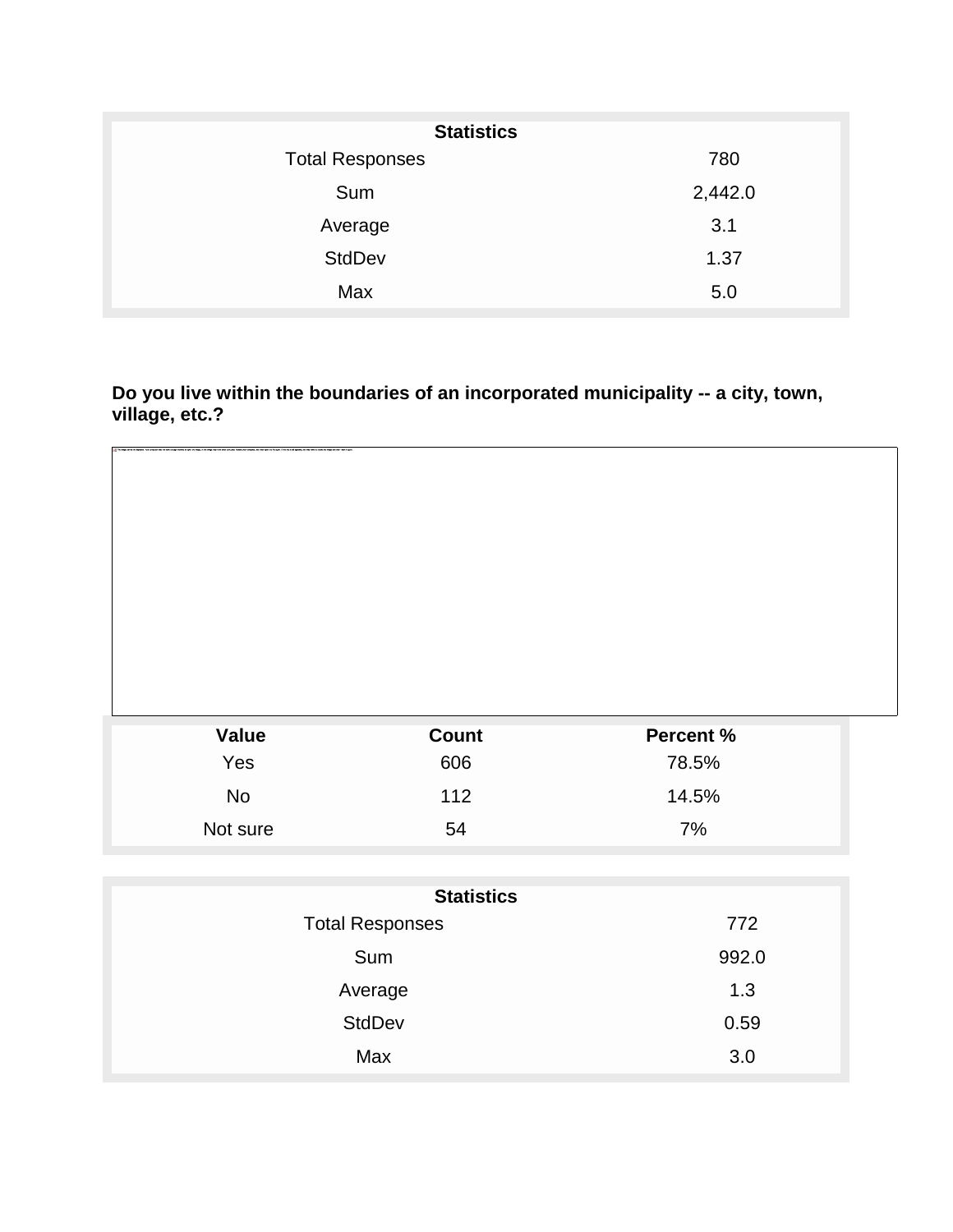| <b>Statistics</b>      |         |  |  |  |  |
|------------------------|---------|--|--|--|--|
| <b>Total Responses</b> | 780     |  |  |  |  |
| Sum                    | 2,442.0 |  |  |  |  |
| Average                | 3.1     |  |  |  |  |
| <b>StdDev</b>          | 1.37    |  |  |  |  |
| Max                    | 5.0     |  |  |  |  |

**Do you live within the boundaries of an incorporated municipality -- a city, town, village, etc.?**

| <b>Value</b> | <b>Count</b> | Percent % |  |
|--------------|--------------|-----------|--|
| Yes          | 606          | 78.5%     |  |
| No           | 112          | 14.5%     |  |
| Not sure     | 54           | 7%        |  |

| <b>Statistics</b>      |       |  |  |  |
|------------------------|-------|--|--|--|
| <b>Total Responses</b> | 772   |  |  |  |
| Sum                    | 992.0 |  |  |  |
| Average                | 1.3   |  |  |  |
| <b>StdDev</b>          | 0.59  |  |  |  |
| Max                    | 3.0   |  |  |  |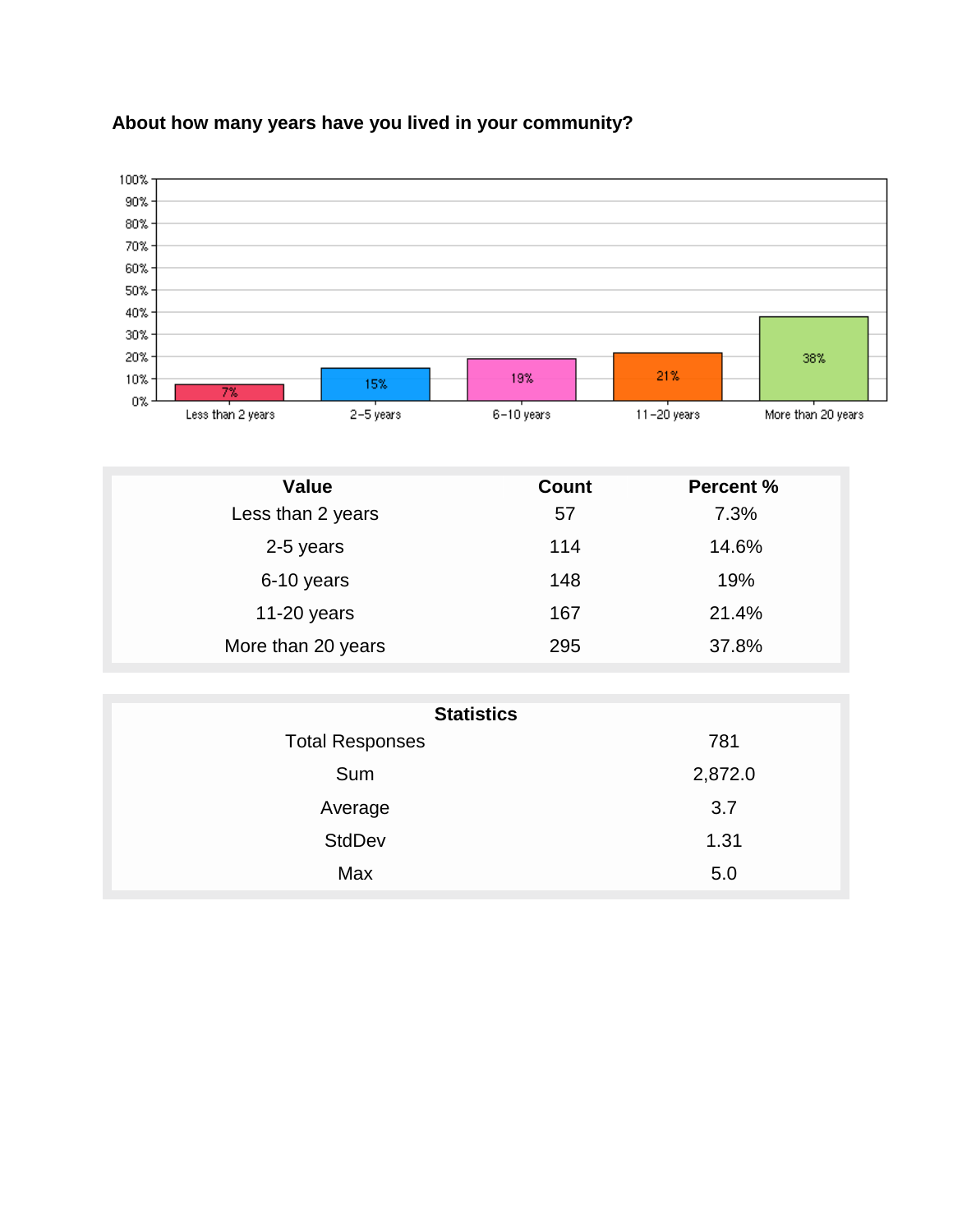

## **About how many years have you lived in your community?**

| <b>Value</b>       | <b>Count</b> | <b>Percent %</b> |
|--------------------|--------------|------------------|
| Less than 2 years  | 57           | 7.3%             |
| 2-5 years          | 114          | 14.6%            |
| 6-10 years         | 148          | 19%              |
| 11-20 years        | 167          | 21.4%            |
| More than 20 years | 295          | 37.8%            |

| <b>Statistics</b>      |         |  |  |  |  |
|------------------------|---------|--|--|--|--|
| <b>Total Responses</b> | 781     |  |  |  |  |
| Sum                    | 2,872.0 |  |  |  |  |
| Average                | 3.7     |  |  |  |  |
| <b>StdDev</b>          | 1.31    |  |  |  |  |
| Max                    | 5.0     |  |  |  |  |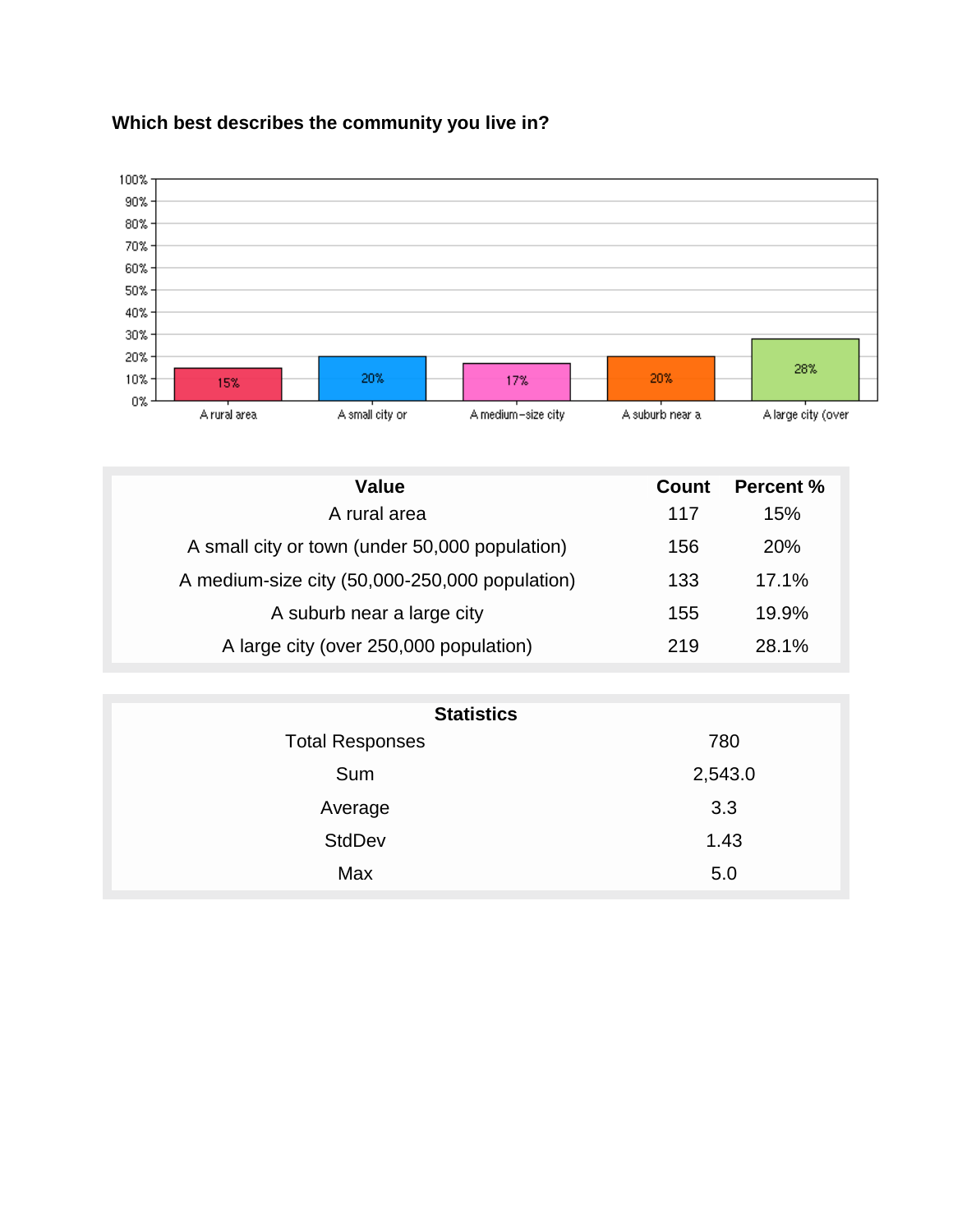## **Which best describes the community you live in?**



| Value                                          | Count | <b>Percent %</b> |
|------------------------------------------------|-------|------------------|
| A rural area                                   | 117   | 15%              |
| A small city or town (under 50,000 population) | 156   | 20%              |
| A medium-size city (50,000-250,000 population) | 133   | 17.1%            |
| A suburb near a large city                     | 155   | 19.9%            |
| A large city (over 250,000 population)         | 219   | 28.1%            |

| <b>Statistics</b>      |         |
|------------------------|---------|
| <b>Total Responses</b> | 780     |
| Sum                    | 2,543.0 |
| Average                | 3.3     |
| <b>StdDev</b>          | 1.43    |
| Max                    | 5.0     |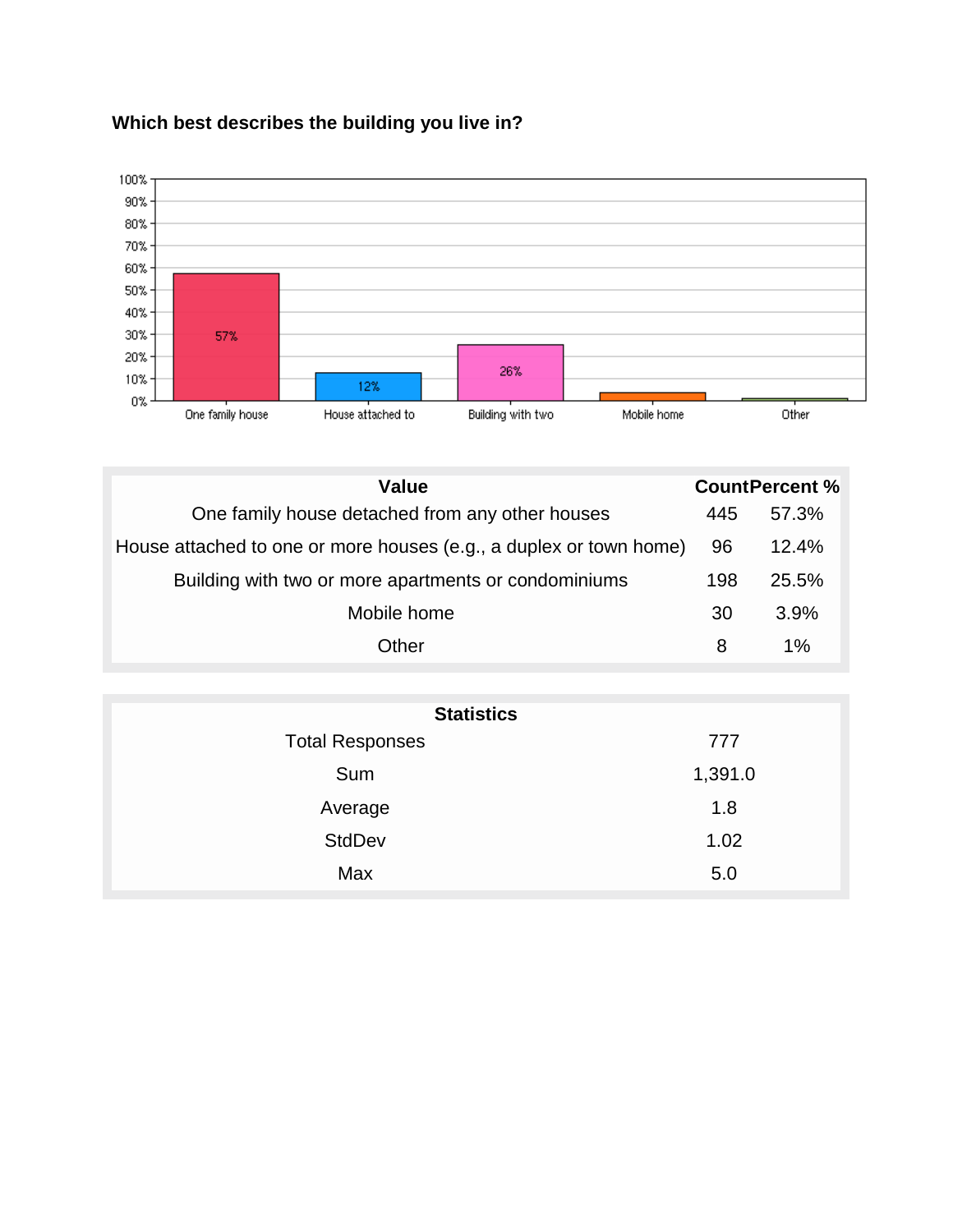

## **Which best describes the building you live in?**

| <b>Value</b>                                                       |     | <b>CountPercent %</b> |
|--------------------------------------------------------------------|-----|-----------------------|
| One family house detached from any other houses                    | 445 | 57.3%                 |
| House attached to one or more houses (e.g., a duplex or town home) | 96  | 12.4%                 |
| Building with two or more apartments or condominiums               | 198 | 25.5%                 |
| Mobile home                                                        | 30  | 3.9%                  |
| Other                                                              | 8   | $1\%$                 |

| 777     |
|---------|
| 1,391.0 |
| 1.8     |
| 1.02    |
| 5.0     |
|         |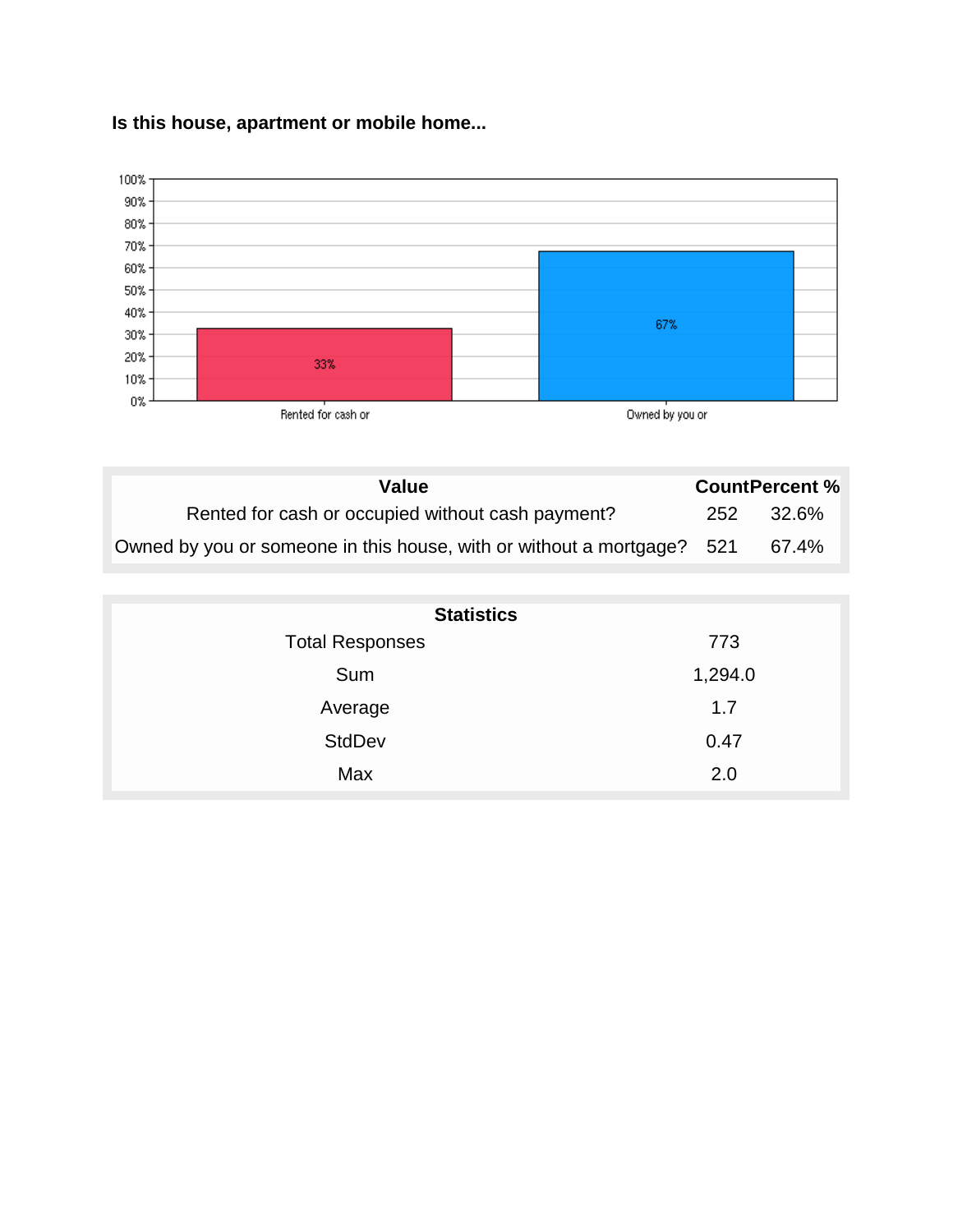#### **Is this house, apartment or mobile home...**



| Value                                                                  |     | <b>CountPercent %</b> |
|------------------------------------------------------------------------|-----|-----------------------|
| Rented for cash or occupied without cash payment?                      | 252 | 32.6%                 |
| Owned by you or someone in this house, with or without a mortgage? 521 |     | 67.4%                 |

| <b>Statistics</b>      |         |
|------------------------|---------|
| <b>Total Responses</b> | 773     |
| Sum                    | 1,294.0 |
| Average                | 1.7     |
| <b>StdDev</b>          | 0.47    |
| Max                    | 2.0     |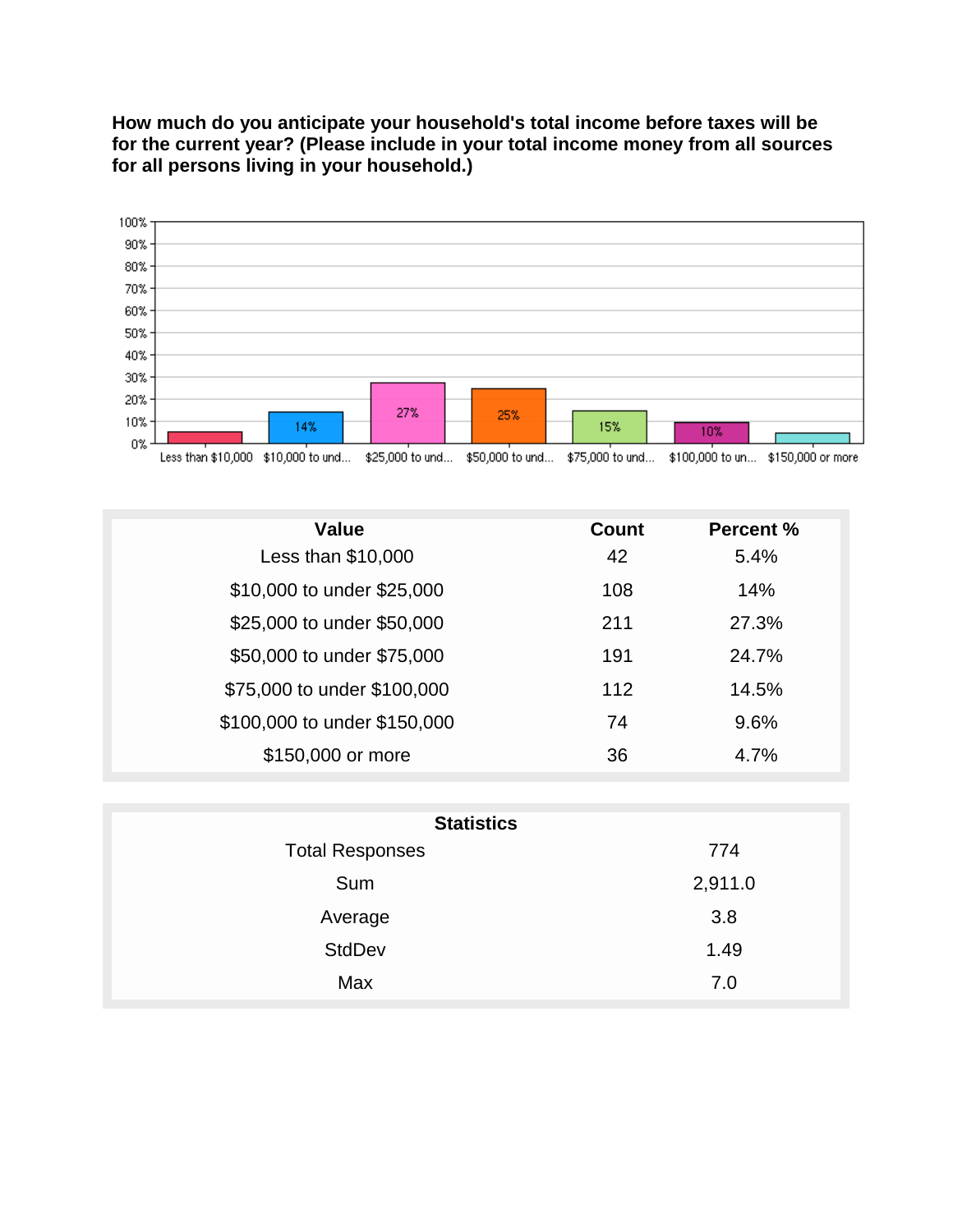**How much do you anticipate your household's total income before taxes will be for the current year? (Please include in your total income money from all sources for all persons living in your household.)**



| Less than \$10,000 - \$10,000 to und - \$25,000 to und - \$50,000 to und - \$75,000 to und - \$100,000 to un - \$150,000 or more |
|----------------------------------------------------------------------------------------------------------------------------------|
|----------------------------------------------------------------------------------------------------------------------------------|

| <b>Value</b>                 | Count | <b>Percent %</b> |
|------------------------------|-------|------------------|
| Less than $$10,000$          | 42    | 5.4%             |
| \$10,000 to under \$25,000   | 108   | 14%              |
| \$25,000 to under \$50,000   | 211   | 27.3%            |
| \$50,000 to under \$75,000   | 191   | 24.7%            |
| \$75,000 to under \$100,000  | 112   | 14.5%            |
| \$100,000 to under \$150,000 | 74    | 9.6%             |
| \$150,000 or more            | 36    | 4.7%             |

| <b>Statistics</b>      |         |
|------------------------|---------|
| <b>Total Responses</b> | 774     |
| Sum                    | 2,911.0 |
| Average                | 3.8     |
| <b>StdDev</b>          | 1.49    |
| Max                    | 7.0     |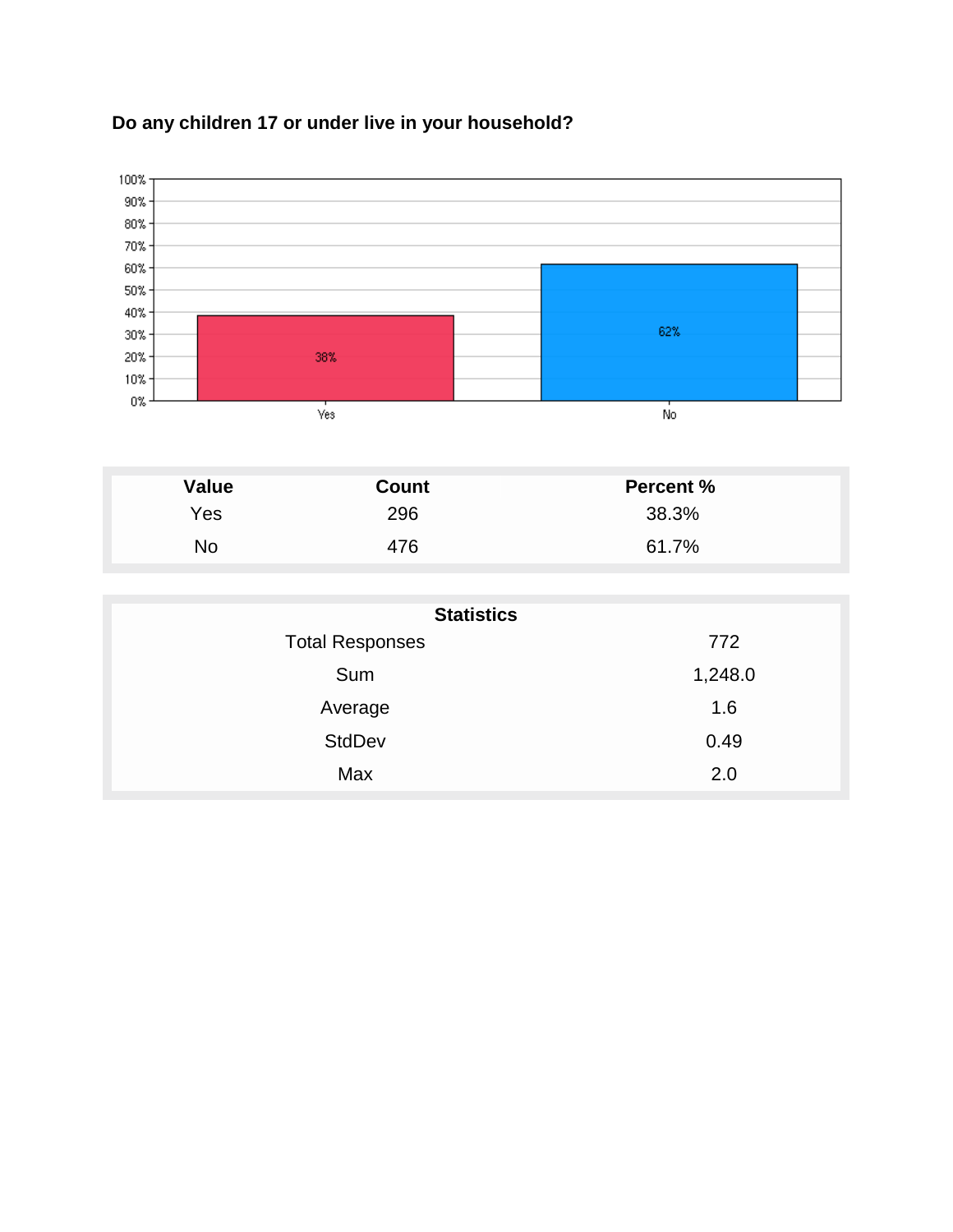



| <b>Value</b> | Count | <b>Percent %</b> |
|--------------|-------|------------------|
| Yes          | 296   | 38.3%            |
| No           | 476   | 61.7%            |

| <b>Statistics</b>      |         |
|------------------------|---------|
| <b>Total Responses</b> | 772     |
| Sum                    | 1,248.0 |
| Average                | 1.6     |
| <b>StdDev</b>          | 0.49    |
| Max                    | 2.0     |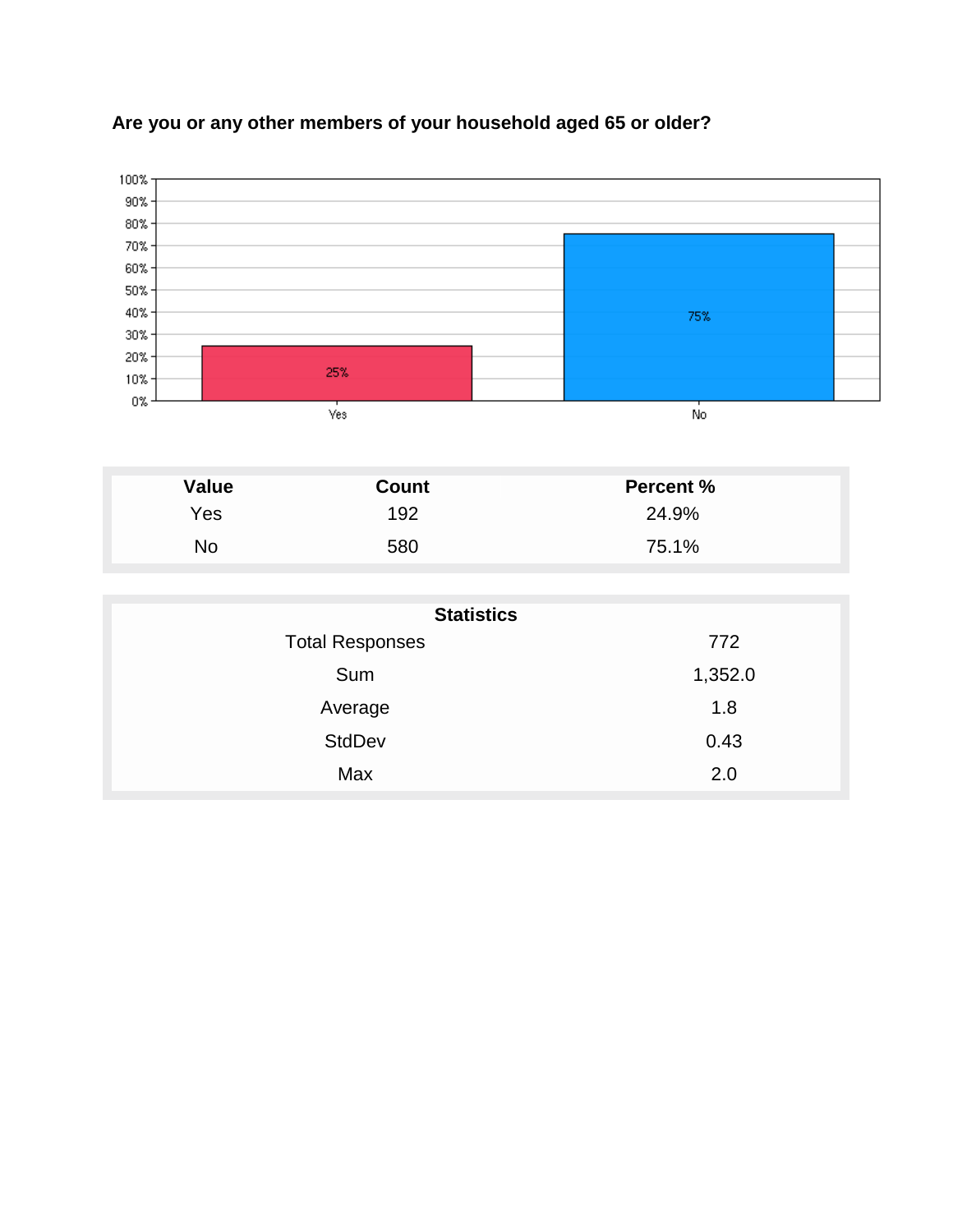

## **Are you or any other members of your household aged 65 or older?**

| Value | <b>Count</b> | <b>Percent %</b> |
|-------|--------------|------------------|
| Yes   | 192          | 24.9%            |
| No    | 580          | 75.1%            |

| <b>Statistics</b>      |         |  |
|------------------------|---------|--|
| <b>Total Responses</b> | 772     |  |
| Sum                    | 1,352.0 |  |
| Average                | 1.8     |  |
| <b>StdDev</b>          | 0.43    |  |
| Max                    | 2.0     |  |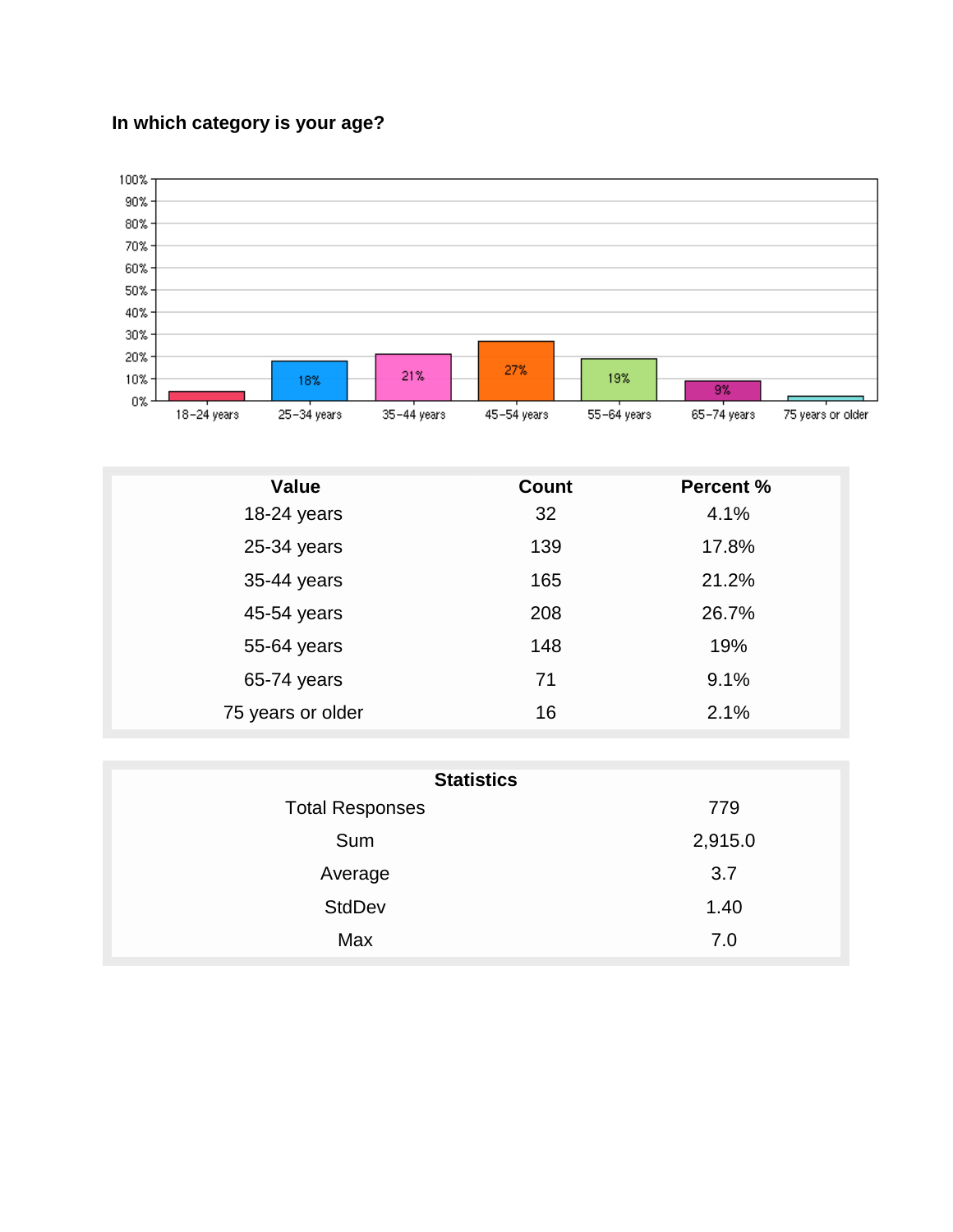## **In which category is your age?**



| <b>Value</b>      | <b>Count</b> | <b>Percent %</b> |
|-------------------|--------------|------------------|
| 18-24 years       | 32           | 4.1%             |
| 25-34 years       | 139          | 17.8%            |
| 35-44 years       | 165          | 21.2%            |
| 45-54 years       | 208          | 26.7%            |
| 55-64 years       | 148          | 19%              |
| 65-74 years       | 71           | 9.1%             |
| 75 years or older | 16           | 2.1%             |

| <b>Statistics</b>      |         |  |
|------------------------|---------|--|
| <b>Total Responses</b> | 779     |  |
| Sum                    | 2,915.0 |  |
| Average                | 3.7     |  |
| <b>StdDev</b>          | 1.40    |  |
| Max                    | 7.0     |  |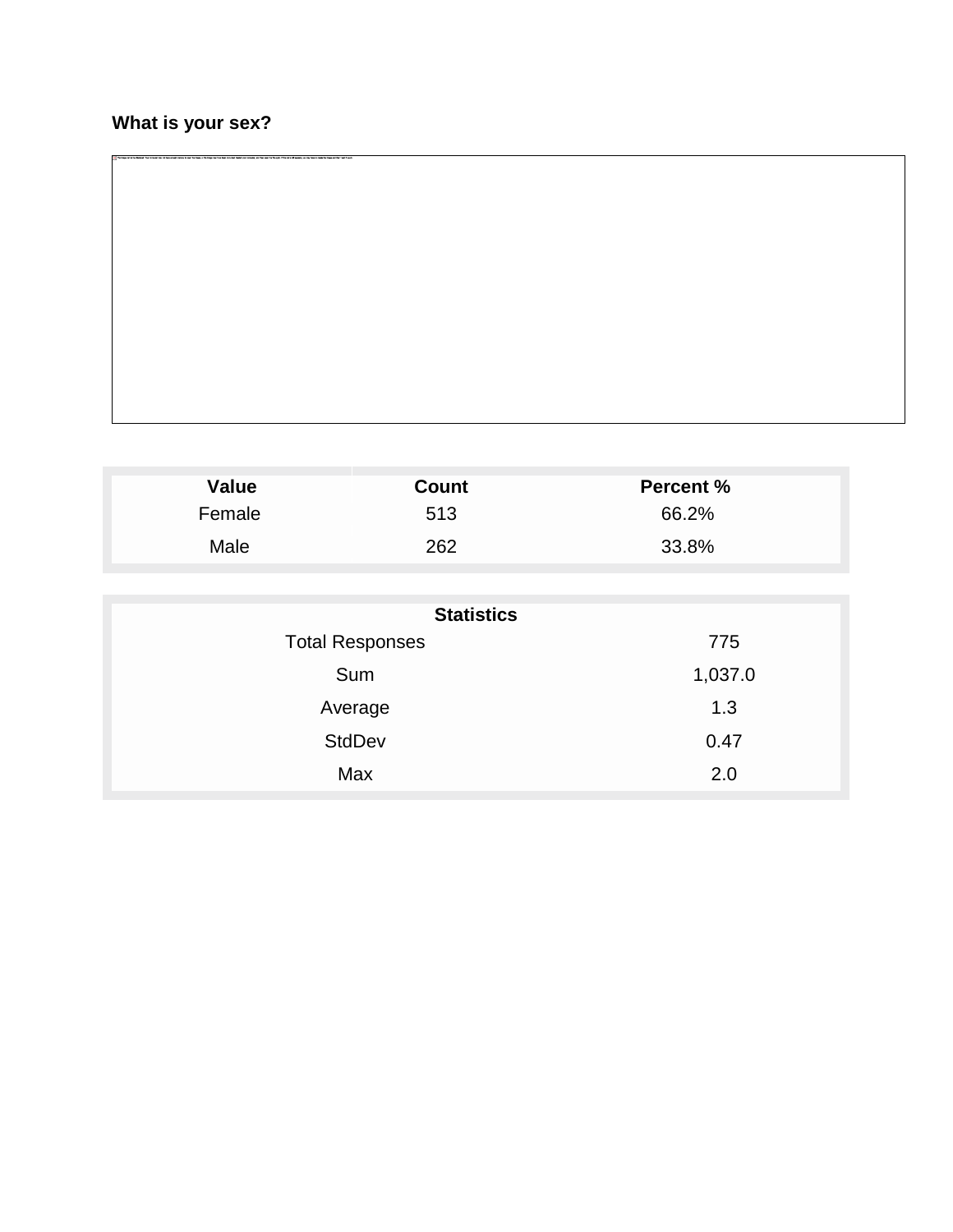## **What is your sex?**

| Value  | <b>Count</b> | <b>Percent %</b> |  |
|--------|--------------|------------------|--|
| Female | 513          | 66.2%            |  |
| Male   | 262          | 33.8%            |  |

| <b>Statistics</b>      |         |  |
|------------------------|---------|--|
| <b>Total Responses</b> | 775     |  |
| Sum                    | 1,037.0 |  |
| Average                | 1.3     |  |
| <b>StdDev</b>          | 0.47    |  |
| Max                    | 2.0     |  |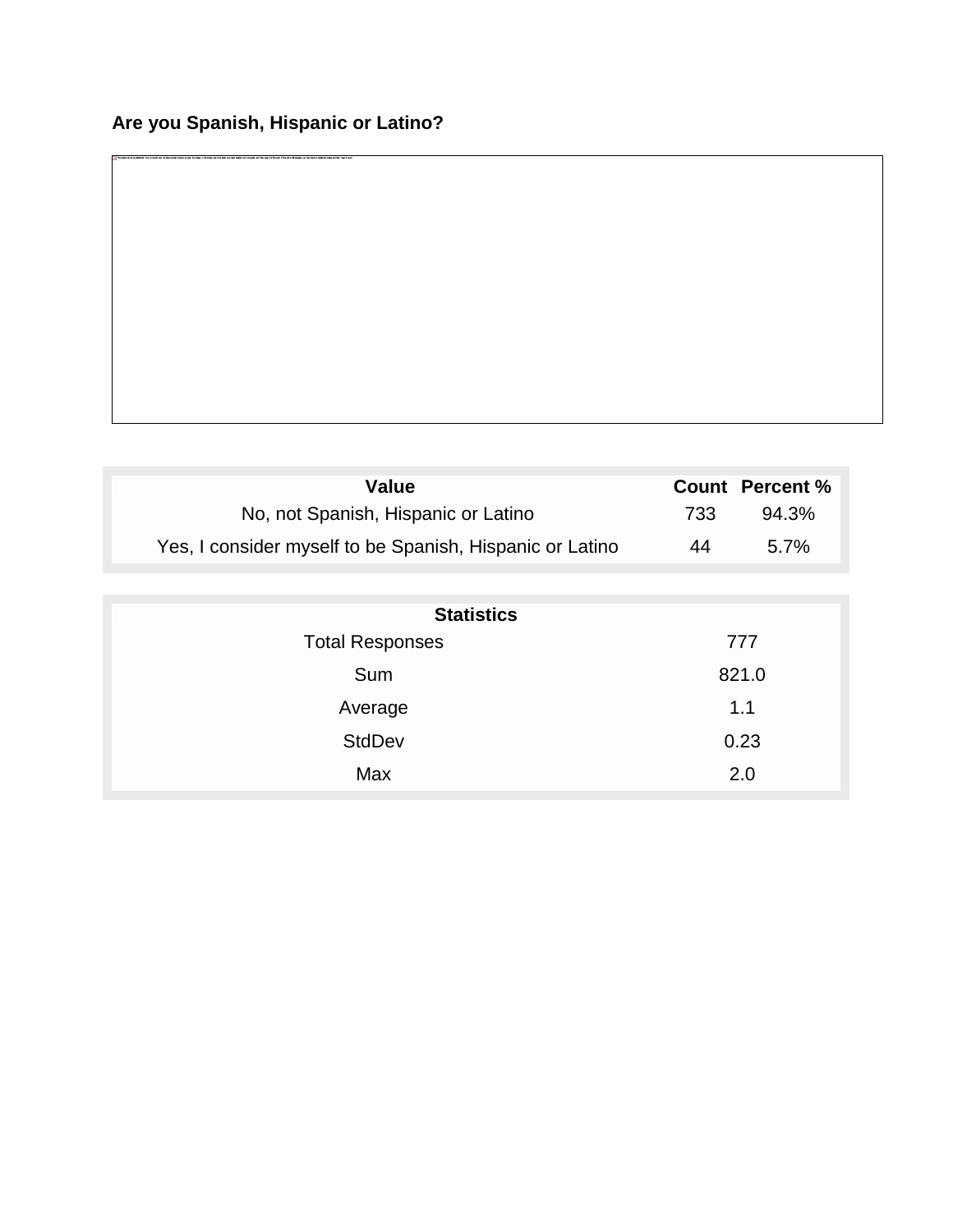| <b>Value</b>                                             |     | <b>Count Percent %</b> |
|----------------------------------------------------------|-----|------------------------|
| No, not Spanish, Hispanic or Latino                      | 733 | 94.3%                  |
| Yes, I consider myself to be Spanish, Hispanic or Latino | 44  | $5.7\%$                |

| <b>Statistics</b>      |       |  |
|------------------------|-------|--|
| <b>Total Responses</b> | 777   |  |
| Sum                    | 821.0 |  |
| Average                | 1.1   |  |
| <b>StdDev</b>          | 0.23  |  |
| Max                    | 2.0   |  |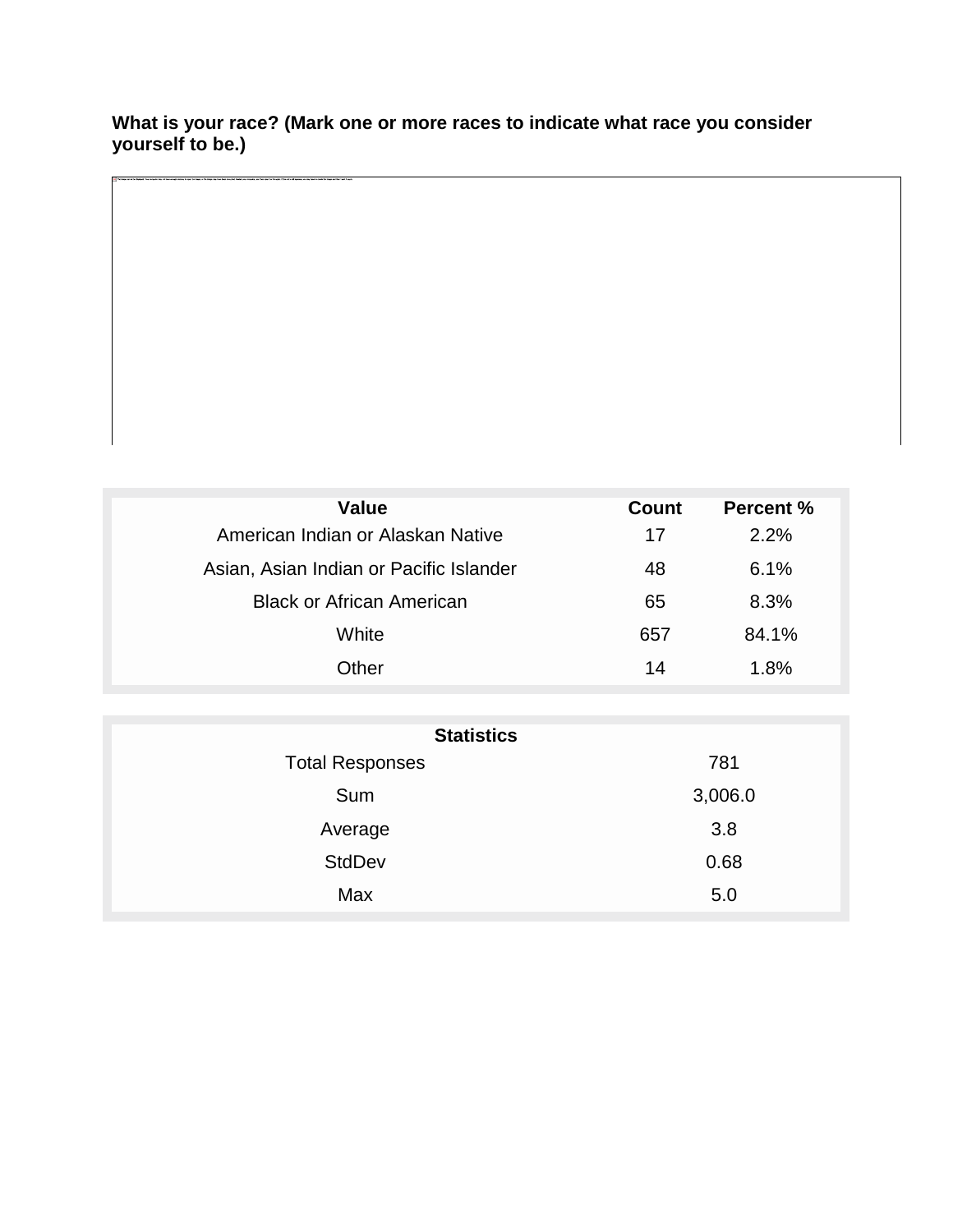#### **What is your race? (Mark one or more races to indicate what race you consider yourself to be.)**

| Value                                   | Count | Percent % |
|-----------------------------------------|-------|-----------|
| American Indian or Alaskan Native       |       | 2.2%      |
| Asian, Asian Indian or Pacific Islander | 48    | 6.1%      |
| <b>Black or African American</b>        | 65    | 8.3%      |
| White                                   | 657   | 84.1%     |
| Other                                   | 14    | $1.8\%$   |
|                                         |       |           |

| <b>Statistics</b>      |         |  |
|------------------------|---------|--|
| <b>Total Responses</b> | 781     |  |
| Sum                    | 3,006.0 |  |
| Average                | 3.8     |  |
| <b>StdDev</b>          | 0.68    |  |
| Max                    | 5.0     |  |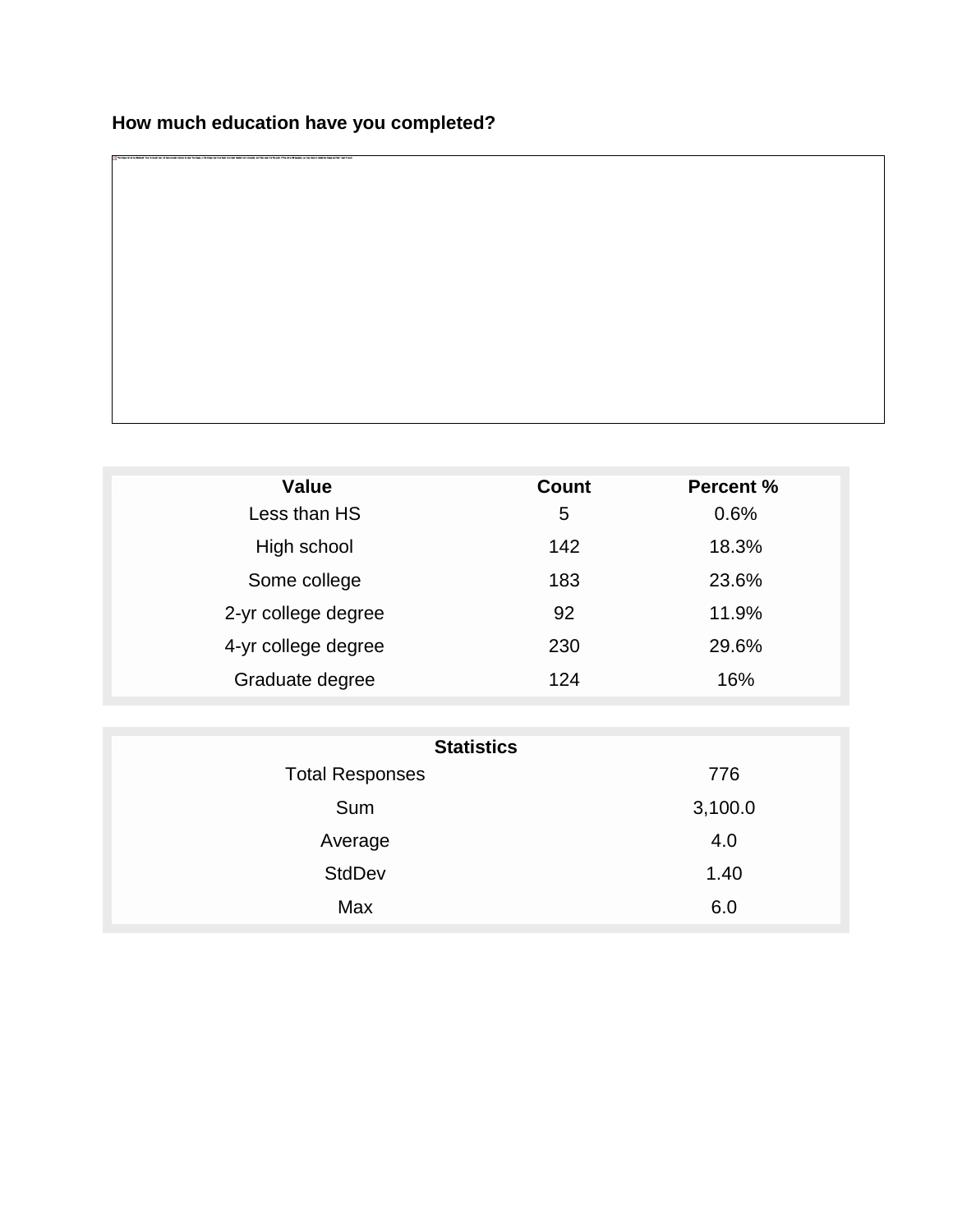| <b>Value</b>        | <b>Count</b> | <b>Percent %</b> |
|---------------------|--------------|------------------|
| Less than HS        | 5            | 0.6%             |
| High school         | 142          | 18.3%            |
| Some college        | 183          | 23.6%            |
| 2-yr college degree | 92           | 11.9%            |
| 4-yr college degree | 230          | 29.6%            |
| Graduate degree     | 124          | 16%              |

| <b>Statistics</b>      |         |  |
|------------------------|---------|--|
| <b>Total Responses</b> | 776     |  |
| Sum                    | 3,100.0 |  |
| Average                | 4.0     |  |
| <b>StdDev</b>          | 1.40    |  |
| Max                    | 6.0     |  |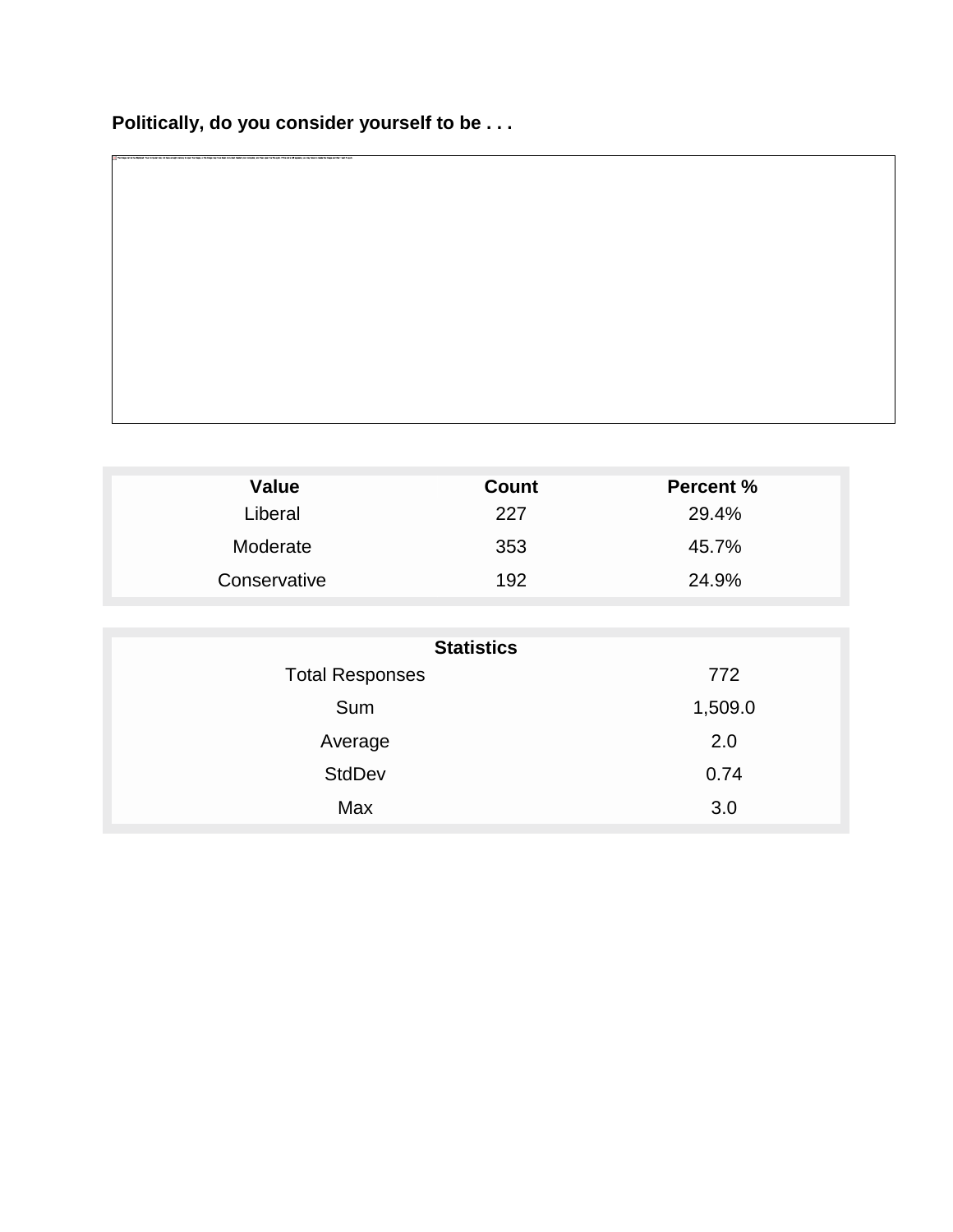## **Politically, do you consider yourself to be . . .**

| <b>Value</b> | Count | <b>Percent %</b> |
|--------------|-------|------------------|
| Liberal      | 227   | 29.4%            |
| Moderate     | 353   | 45.7%            |
| Conservative | 192   | 24.9%            |

| <b>Statistics</b>      |         |  |
|------------------------|---------|--|
| <b>Total Responses</b> | 772     |  |
| Sum                    | 1,509.0 |  |
| Average                | 2.0     |  |
| <b>StdDev</b>          | 0.74    |  |
| Max                    | 3.0     |  |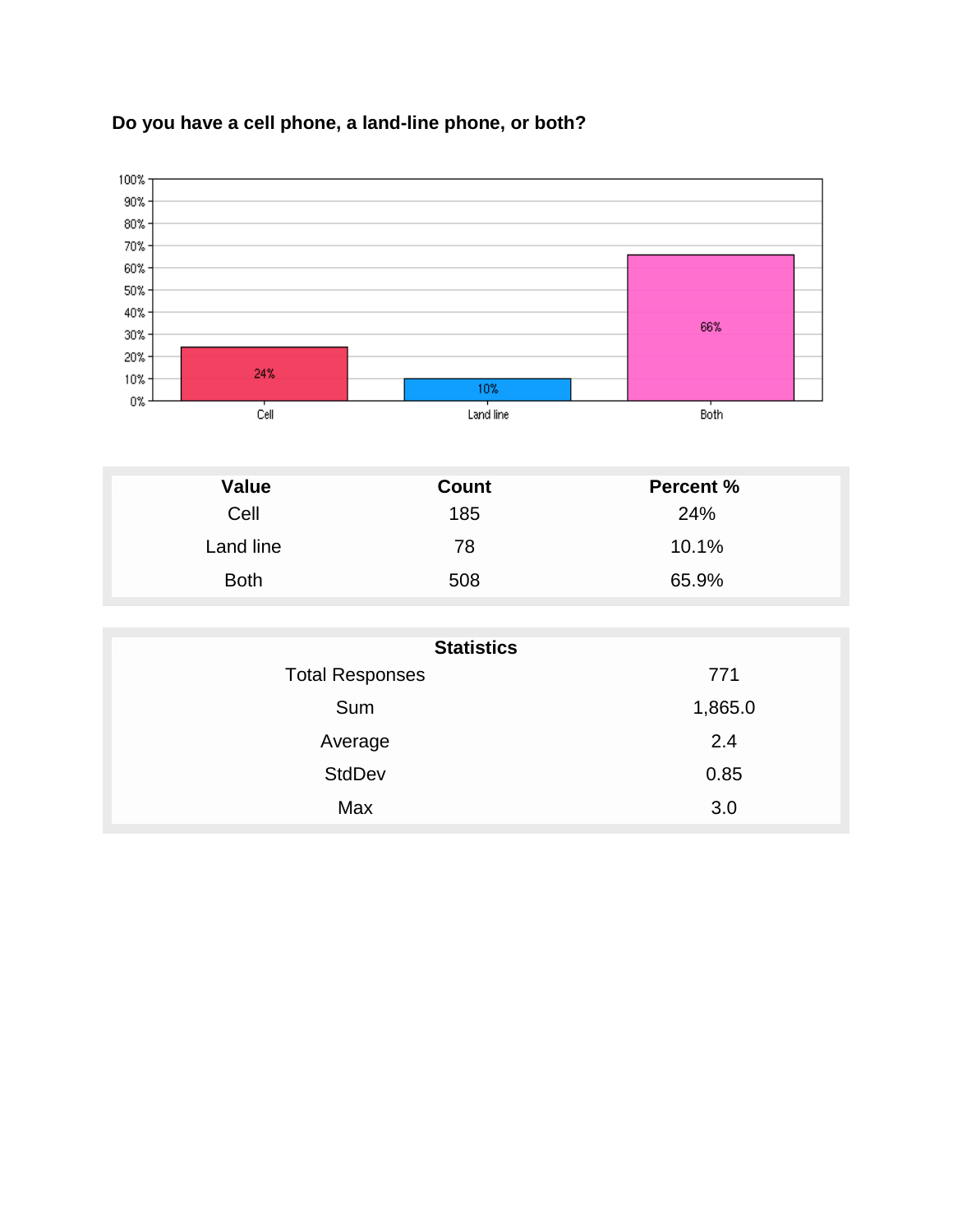

## **Do you have a cell phone, a land-line phone, or both?**

| Value       | Count | <b>Percent %</b> |
|-------------|-------|------------------|
| Cell        | 185   | 24%              |
| Land line   | 78    | 10.1%            |
| <b>Both</b> | 508   | 65.9%            |

| <b>Statistics</b>      |         |  |
|------------------------|---------|--|
| <b>Total Responses</b> | 771     |  |
| Sum                    | 1,865.0 |  |
| Average                | 2.4     |  |
| <b>StdDev</b>          | 0.85    |  |
| Max                    | 3.0     |  |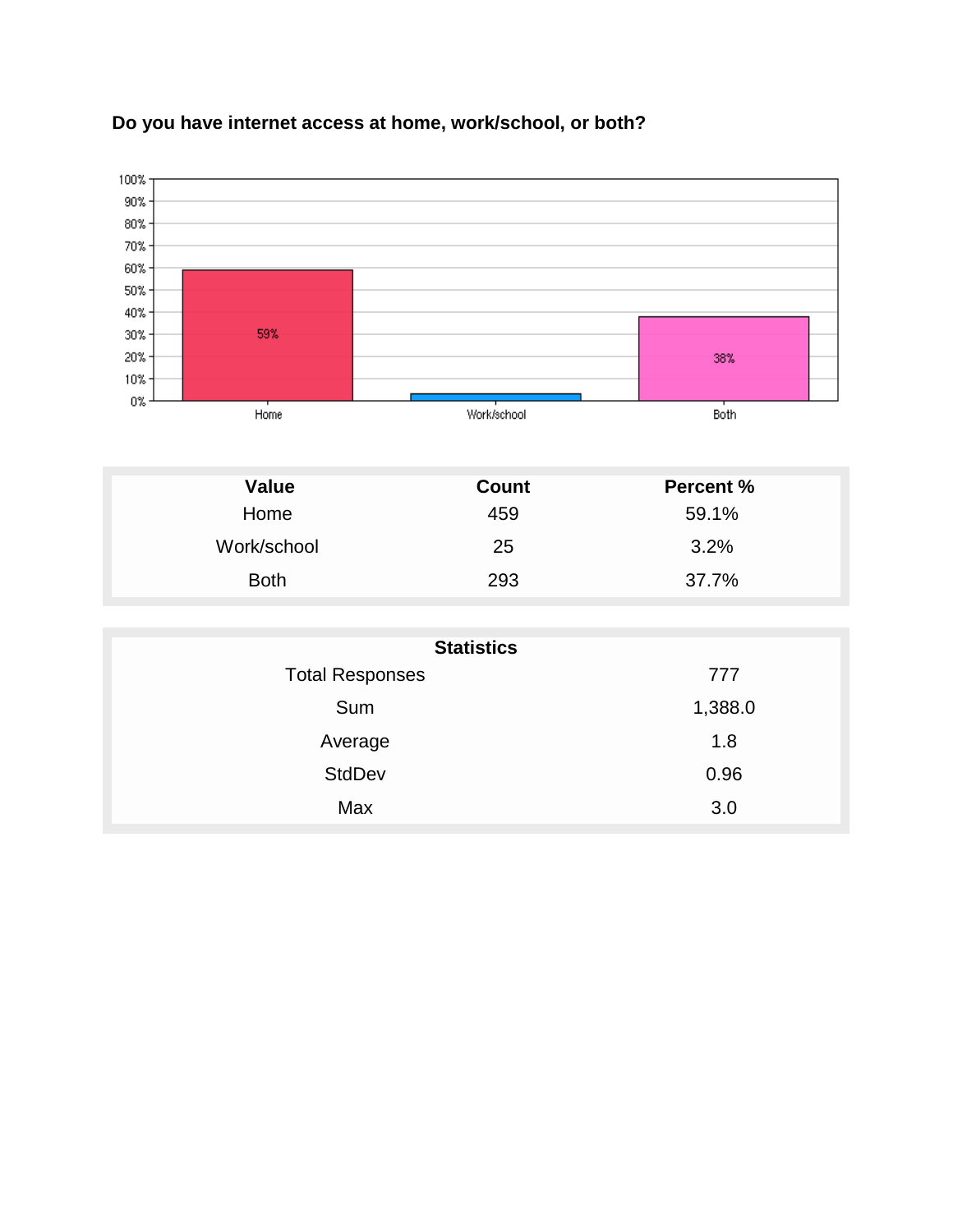

#### **Do you have internet access at home, work/school, or both?**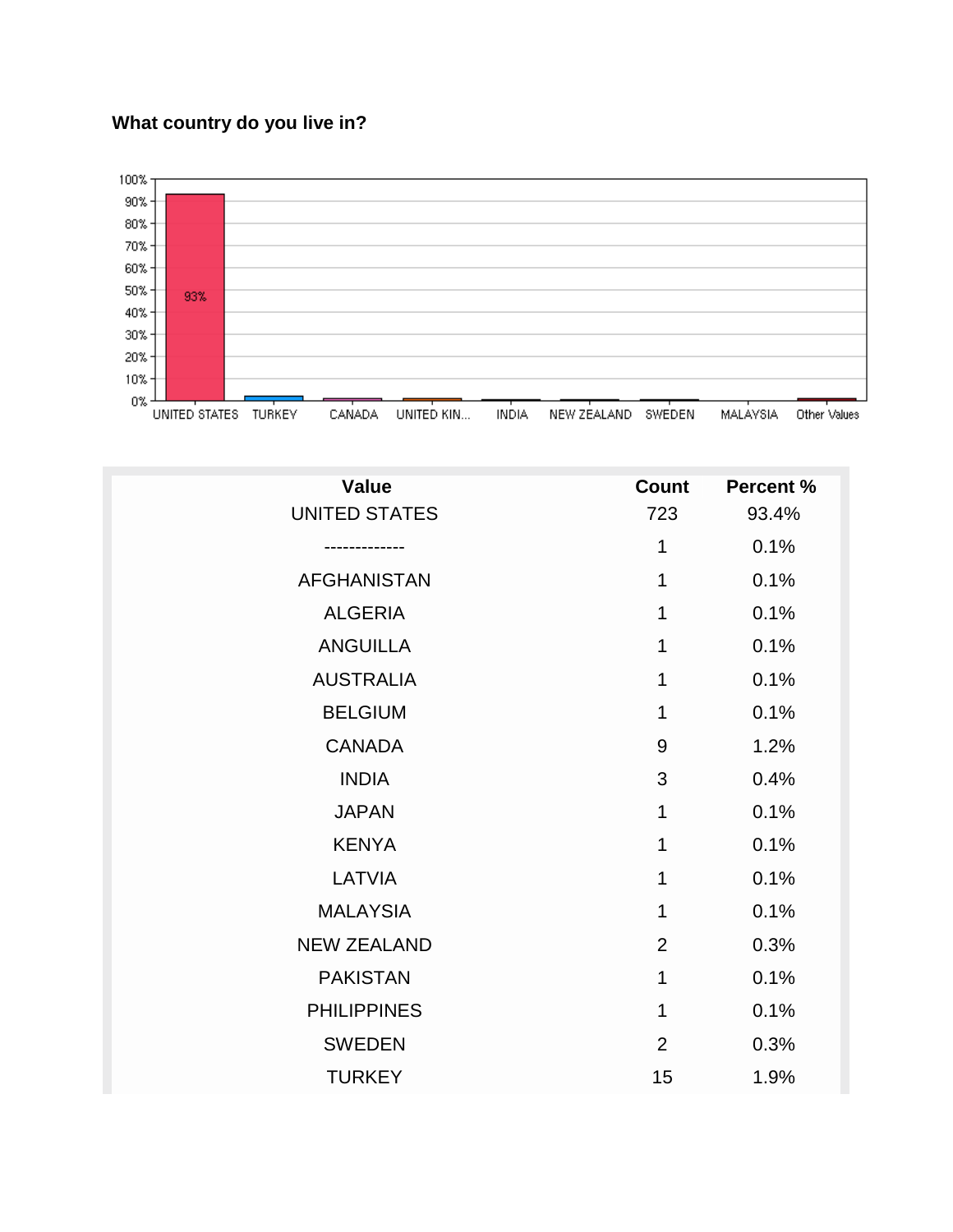## **What country do you live in?**



| <b>Value</b>         | <b>Count</b>   | <b>Percent %</b> |
|----------------------|----------------|------------------|
| <b>UNITED STATES</b> | 723            | 93.4%            |
|                      | 1              | 0.1%             |
| <b>AFGHANISTAN</b>   | 1              | 0.1%             |
| <b>ALGERIA</b>       | 1              | 0.1%             |
| <b>ANGUILLA</b>      | 1              | 0.1%             |
| <b>AUSTRALIA</b>     | 1              | 0.1%             |
| <b>BELGIUM</b>       | 1              | 0.1%             |
| <b>CANADA</b>        | 9              | 1.2%             |
| <b>INDIA</b>         | 3              | 0.4%             |
| <b>JAPAN</b>         | 1              | 0.1%             |
| <b>KENYA</b>         | 1              | 0.1%             |
| LATVIA               | 1              | 0.1%             |
| <b>MALAYSIA</b>      | 1              | 0.1%             |
| <b>NEW ZEALAND</b>   | $\overline{2}$ | 0.3%             |
| <b>PAKISTAN</b>      | 1              | 0.1%             |
| <b>PHILIPPINES</b>   | 1              | 0.1%             |
| <b>SWEDEN</b>        | $\overline{2}$ | 0.3%             |
| <b>TURKEY</b>        | 15             | 1.9%             |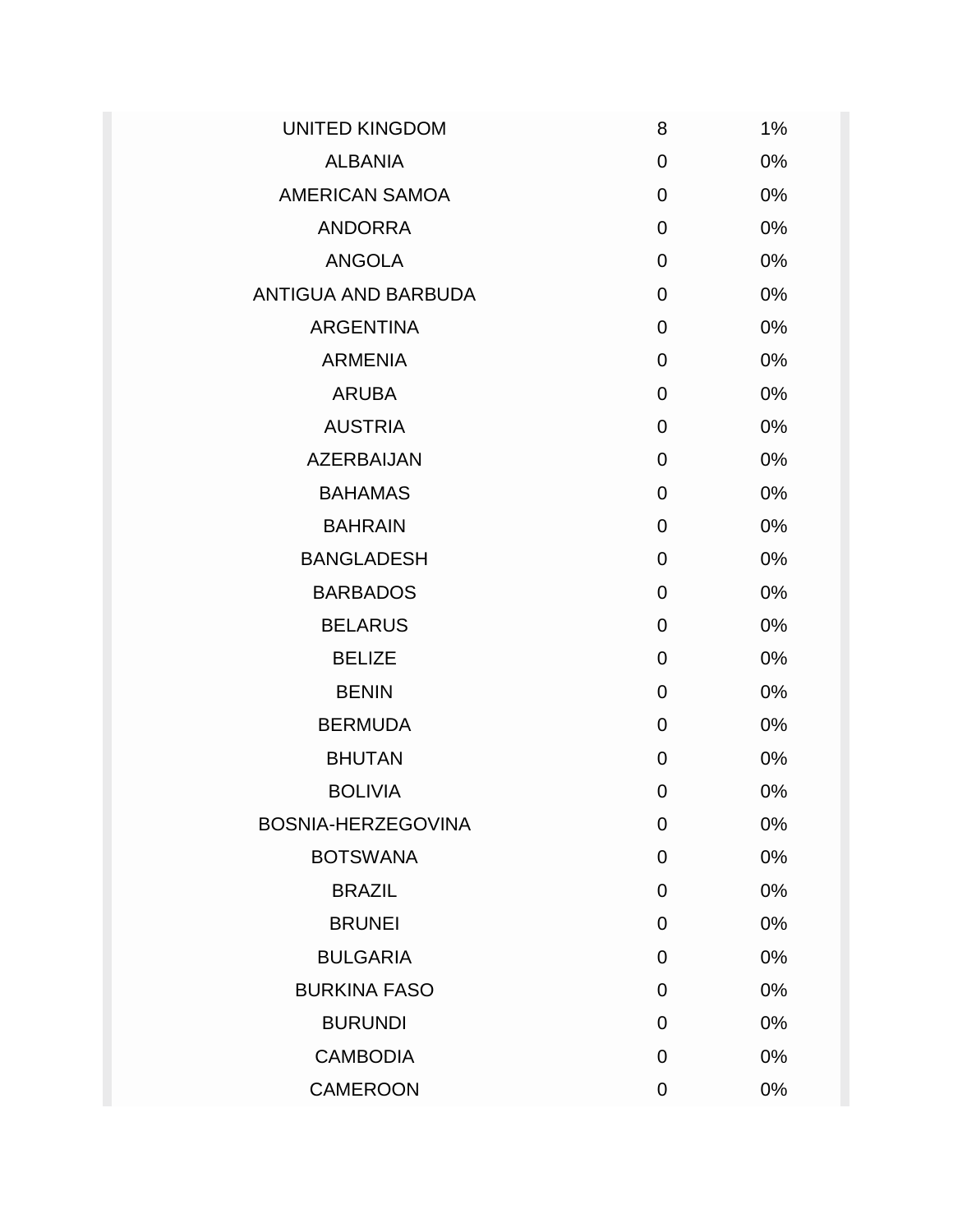| <b>UNITED KINGDOM</b> | 8              | 1% |
|-----------------------|----------------|----|
| <b>ALBANIA</b>        | $\overline{0}$ | 0% |
| <b>AMERICAN SAMOA</b> | 0              | 0% |
| <b>ANDORRA</b>        | 0              | 0% |
| <b>ANGOLA</b>         | $\overline{0}$ | 0% |
| ANTIGUA AND BARBUDA   | $\overline{0}$ | 0% |
| <b>ARGENTINA</b>      | 0              | 0% |
| <b>ARMENIA</b>        | 0              | 0% |
| <b>ARUBA</b>          | $\mathbf 0$    | 0% |
| <b>AUSTRIA</b>        | $\overline{0}$ | 0% |
| <b>AZERBAIJAN</b>     | $\overline{0}$ | 0% |
| <b>BAHAMAS</b>        | 0              | 0% |
| <b>BAHRAIN</b>        | $\mathbf 0$    | 0% |
| <b>BANGLADESH</b>     | 0              | 0% |
| <b>BARBADOS</b>       | $\overline{0}$ | 0% |
| <b>BELARUS</b>        | $\overline{0}$ | 0% |
| <b>BELIZE</b>         | 0              | 0% |
| <b>BENIN</b>          | $\mathbf 0$    | 0% |
| <b>BERMUDA</b>        | $\overline{0}$ | 0% |
| <b>BHUTAN</b>         | $\overline{0}$ | 0% |
| <b>BOLIVIA</b>        | $\overline{0}$ | 0% |
| BOSNIA-HERZEGOVINA    | 0              | 0% |
| <b>BOTSWANA</b>       | $\overline{0}$ | 0% |
| <b>BRAZIL</b>         | $\overline{0}$ | 0% |
| <b>BRUNEI</b>         | $\overline{0}$ | 0% |
| <b>BULGARIA</b>       | $\overline{0}$ | 0% |
| <b>BURKINA FASO</b>   | 0              | 0% |
| <b>BURUNDI</b>        | $\overline{0}$ | 0% |
| <b>CAMBODIA</b>       | $\overline{0}$ | 0% |
| <b>CAMEROON</b>       | $\mathbf 0$    | 0% |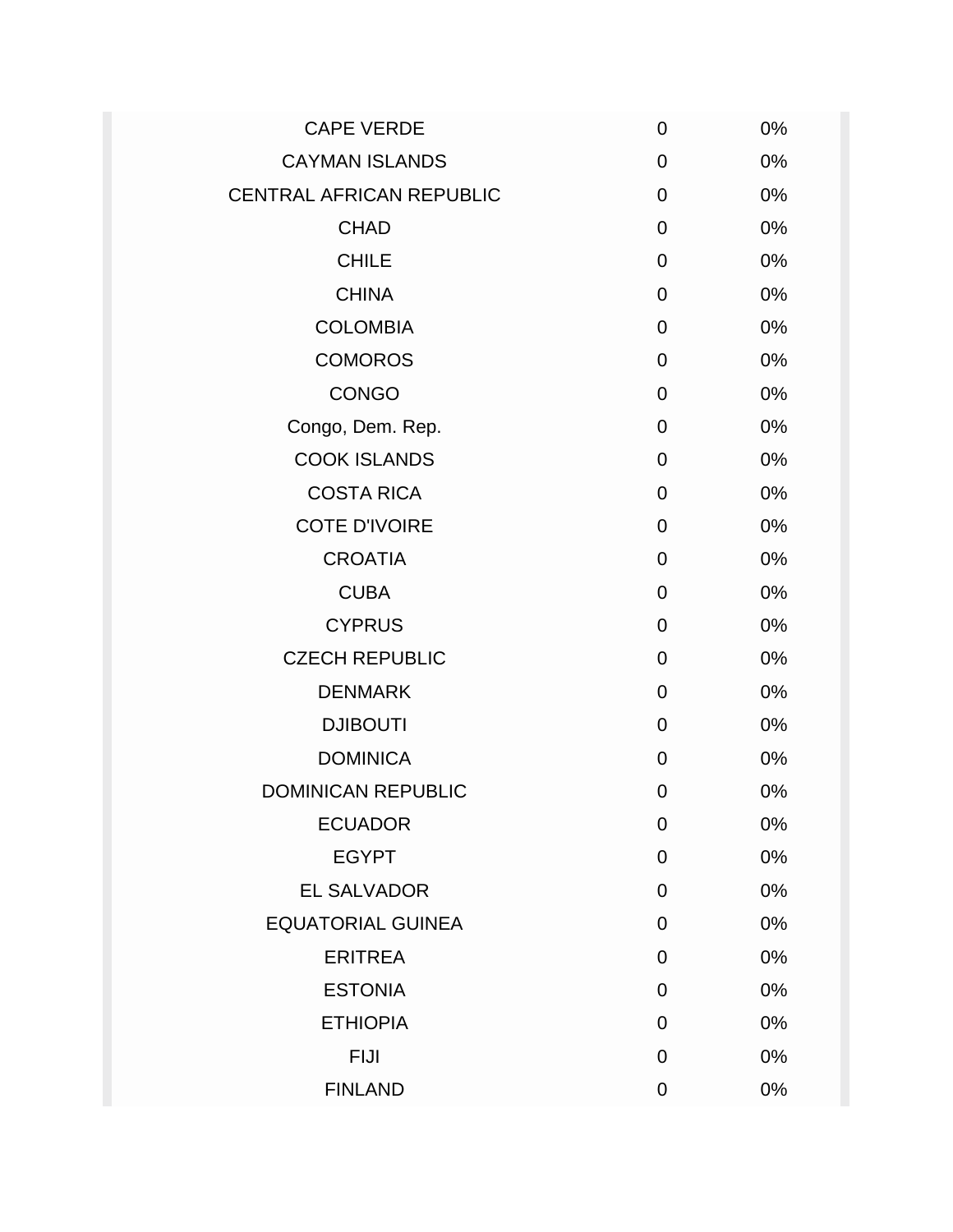| <b>CAPE VERDE</b>               | 0              | 0%    |
|---------------------------------|----------------|-------|
| <b>CAYMAN ISLANDS</b>           | 0              | 0%    |
| <b>CENTRAL AFRICAN REPUBLIC</b> | 0              | 0%    |
| <b>CHAD</b>                     | $\overline{0}$ | 0%    |
| <b>CHILE</b>                    | 0              | 0%    |
| <b>CHINA</b>                    | $\overline{0}$ | 0%    |
| <b>COLOMBIA</b>                 | 0              | 0%    |
| <b>COMOROS</b>                  | 0              | 0%    |
| <b>CONGO</b>                    | $\mathbf 0$    | 0%    |
| Congo, Dem. Rep.                | $\overline{0}$ | 0%    |
| <b>COOK ISLANDS</b>             | 0              | 0%    |
| <b>COSTA RICA</b>               | 0              | 0%    |
| <b>COTE D'IVOIRE</b>            | $\overline{0}$ | 0%    |
| <b>CROATIA</b>                  | $\overline{0}$ | 0%    |
| <b>CUBA</b>                     | $\Omega$       | 0%    |
| <b>CYPRUS</b>                   | 0              | 0%    |
| <b>CZECH REPUBLIC</b>           | 0              | 0%    |
| <b>DENMARK</b>                  | $\mathbf 0$    | 0%    |
| <b>DJIBOUTI</b>                 | $\overline{0}$ | 0%    |
| <b>DOMINICA</b>                 | 0              | 0%    |
| <b>DOMINICAN REPUBLIC</b>       | 0              | 0%    |
| <b>ECUADOR</b>                  | 0              | 0%    |
| <b>EGYPT</b>                    | 0              | 0%    |
| <b>EL SALVADOR</b>              | 0              | $0\%$ |
| <b>EQUATORIAL GUINEA</b>        | 0              | 0%    |
| <b>ERITREA</b>                  | 0              | 0%    |
| <b>ESTONIA</b>                  | 0              | 0%    |
| <b>ETHIOPIA</b>                 | $\Omega$       | 0%    |
| <b>FIJI</b>                     | 0              | 0%    |
| <b>FINLAND</b>                  | 0              | 0%    |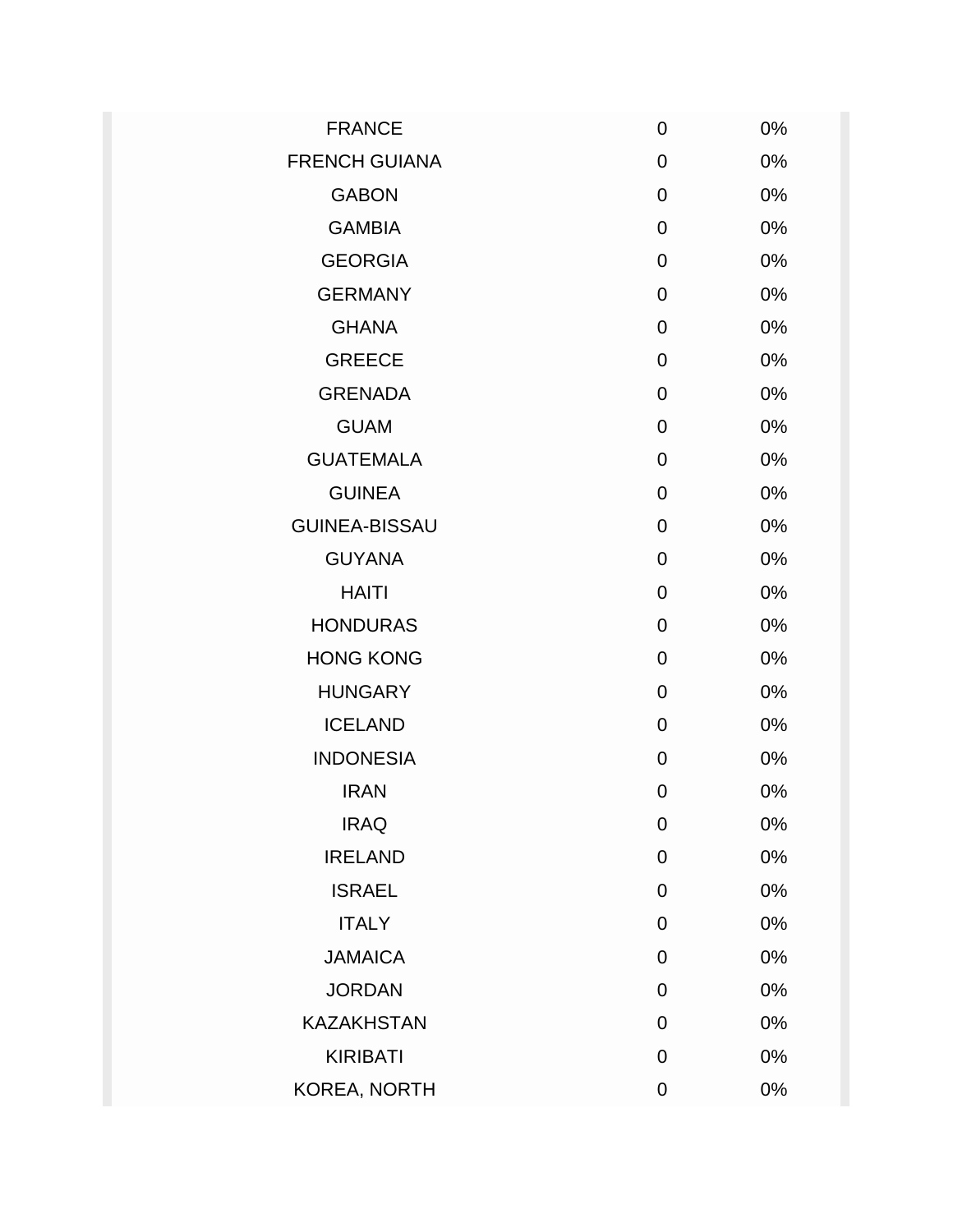| <b>FRANCE</b>        | 0 | 0% |
|----------------------|---|----|
| <b>FRENCH GUIANA</b> | 0 | 0% |
| <b>GABON</b>         | 0 | 0% |
| <b>GAMBIA</b>        | 0 | 0% |
| <b>GEORGIA</b>       | 0 | 0% |
| <b>GERMANY</b>       | 0 | 0% |
| <b>GHANA</b>         | 0 | 0% |
| <b>GREECE</b>        | 0 | 0% |
| <b>GRENADA</b>       | 0 | 0% |
| <b>GUAM</b>          | 0 | 0% |
| <b>GUATEMALA</b>     | 0 | 0% |
| <b>GUINEA</b>        | 0 | 0% |
| <b>GUINEA-BISSAU</b> | 0 | 0% |
| <b>GUYANA</b>        | 0 | 0% |
| <b>HAITI</b>         | 0 | 0% |
| <b>HONDURAS</b>      | 0 | 0% |
| <b>HONG KONG</b>     | 0 | 0% |
| <b>HUNGARY</b>       | 0 | 0% |
| <b>ICELAND</b>       | 0 | 0% |
| <b>INDONESIA</b>     | 0 | 0% |
| <b>IRAN</b>          | 0 | 0% |
| <b>IRAQ</b>          | 0 | 0% |
| <b>IRELAND</b>       | 0 | 0% |
| <b>ISRAEL</b>        | 0 | 0% |
| <b>ITALY</b>         | 0 | 0% |
| <b>JAMAICA</b>       | 0 | 0% |
| <b>JORDAN</b>        | 0 | 0% |
| <b>KAZAKHSTAN</b>    | 0 | 0% |
| <b>KIRIBATI</b>      | 0 | 0% |
| KOREA, NORTH         | 0 | 0% |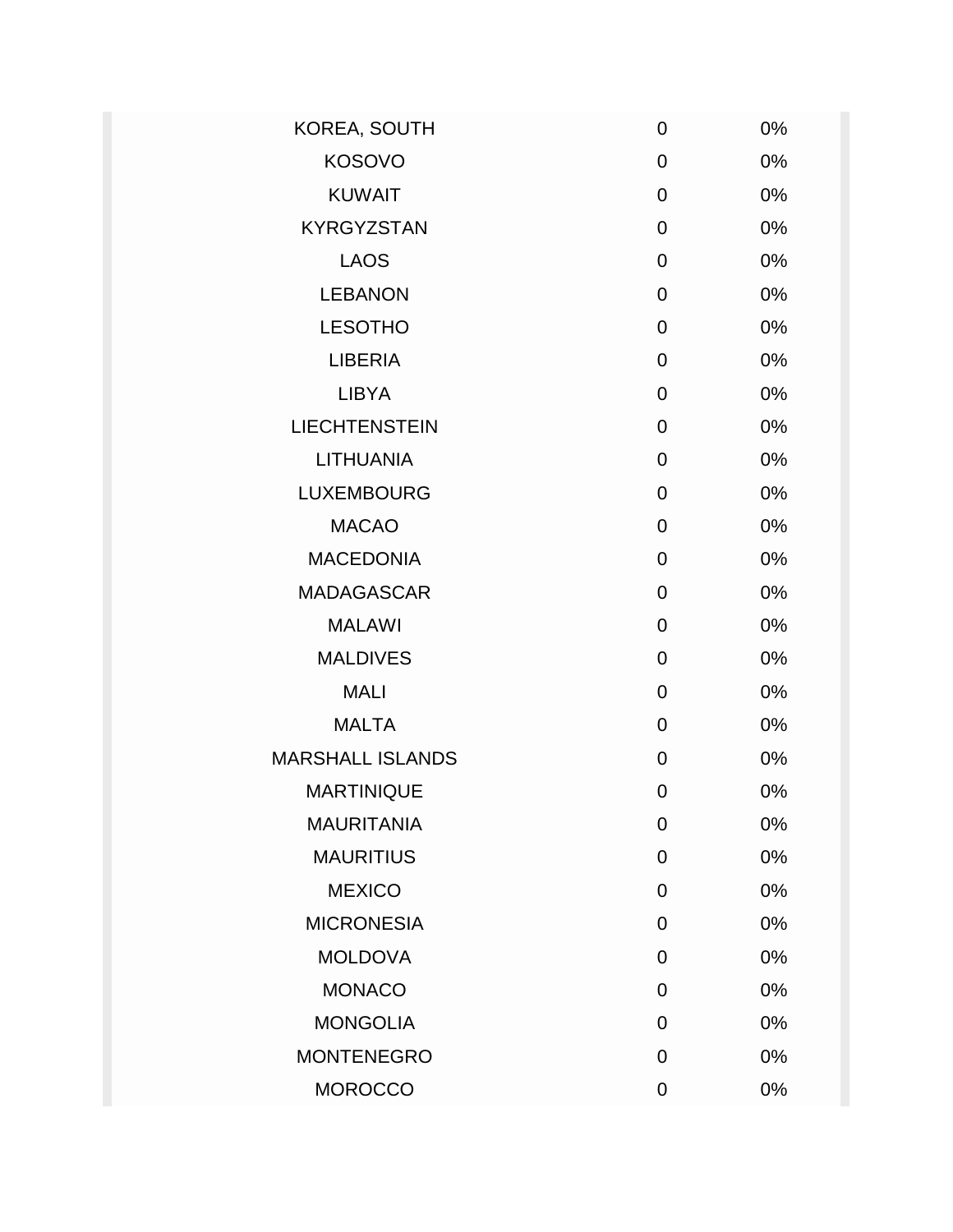| $\mathbf 0$    | 0% |
|----------------|----|
| 0              | 0% |
| $\mathbf 0$    | 0% |
| $\mathbf 0$    | 0% |
| $\mathbf 0$    | 0% |
| $\mathbf 0$    | 0% |
| $\mathbf 0$    | 0% |
| $\overline{0}$ | 0% |
| $\mathbf 0$    | 0% |
| $\mathbf 0$    | 0% |
| 0              | 0% |
| $\mathbf 0$    | 0% |
| $\mathbf 0$    | 0% |
| $\mathbf 0$    | 0% |
| $\mathbf 0$    | 0% |
| 0              | 0% |
| $\mathbf 0$    | 0% |
| $\mathbf 0$    | 0% |
| 0              | 0% |
| 0              | 0% |
| $\overline{0}$ | 0% |
| 0              | 0% |
| $\mathbf 0$    | 0% |
| 0              | 0% |
| $\overline{0}$ | 0% |
| 0              | 0% |
| 0              | 0% |
| $\mathbf 0$    | 0% |
| 0              | 0% |
|                |    |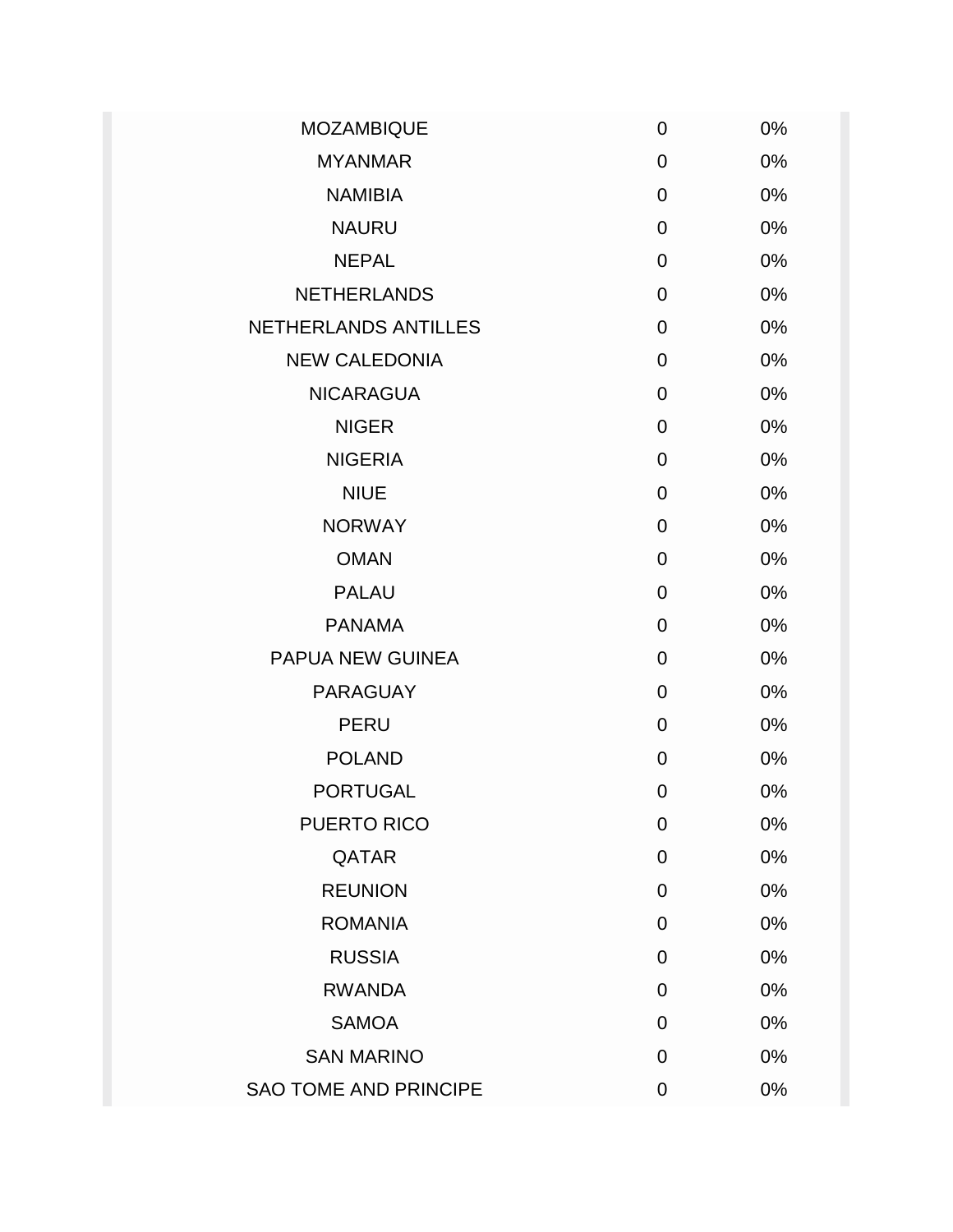| <b>MOZAMBIQUE</b>            | $\mathbf 0$    | 0%    |
|------------------------------|----------------|-------|
| <b>MYANMAR</b>               | 0              | 0%    |
| <b>NAMIBIA</b>               | 0              | 0%    |
| <b>NAURU</b>                 | 0              | 0%    |
| <b>NEPAL</b>                 | 0              | 0%    |
| <b>NETHERLANDS</b>           | $\mathbf 0$    | 0%    |
| <b>NETHERLANDS ANTILLES</b>  | $\mathbf 0$    | 0%    |
| <b>NEW CALEDONIA</b>         | 0              | 0%    |
| <b>NICARAGUA</b>             | $\overline{0}$ | 0%    |
| <b>NIGER</b>                 | 0              | 0%    |
| <b>NIGERIA</b>               | $\mathbf 0$    | 0%    |
| <b>NIUE</b>                  | 0              | 0%    |
| <b>NORWAY</b>                | 0              | 0%    |
| <b>OMAN</b>                  | $\overline{0}$ | 0%    |
| <b>PALAU</b>                 | 0              | 0%    |
| <b>PANAMA</b>                | $\overline{0}$ | 0%    |
| PAPUA NEW GUINEA             | $\overline{0}$ | 0%    |
| <b>PARAGUAY</b>              | $\overline{0}$ | 0%    |
| <b>PERU</b>                  | $\overline{0}$ | 0%    |
| <b>POLAND</b>                | 0              | 0%    |
| <b>PORTUGAL</b>              | 0              | 0%    |
| PUERTO RICO                  | 0              | 0%    |
| QATAR                        | 0              | 0%    |
| <b>REUNION</b>               | 0              | 0%    |
| <b>ROMANIA</b>               | 0              | 0%    |
| <b>RUSSIA</b>                | $\overline{0}$ | 0%    |
| <b>RWANDA</b>                | 0              | 0%    |
| <b>SAMOA</b>                 | 0              | 0%    |
| <b>SAN MARINO</b>            | $\mathbf 0$    | $0\%$ |
| <b>SAO TOME AND PRINCIPE</b> | 0              | 0%    |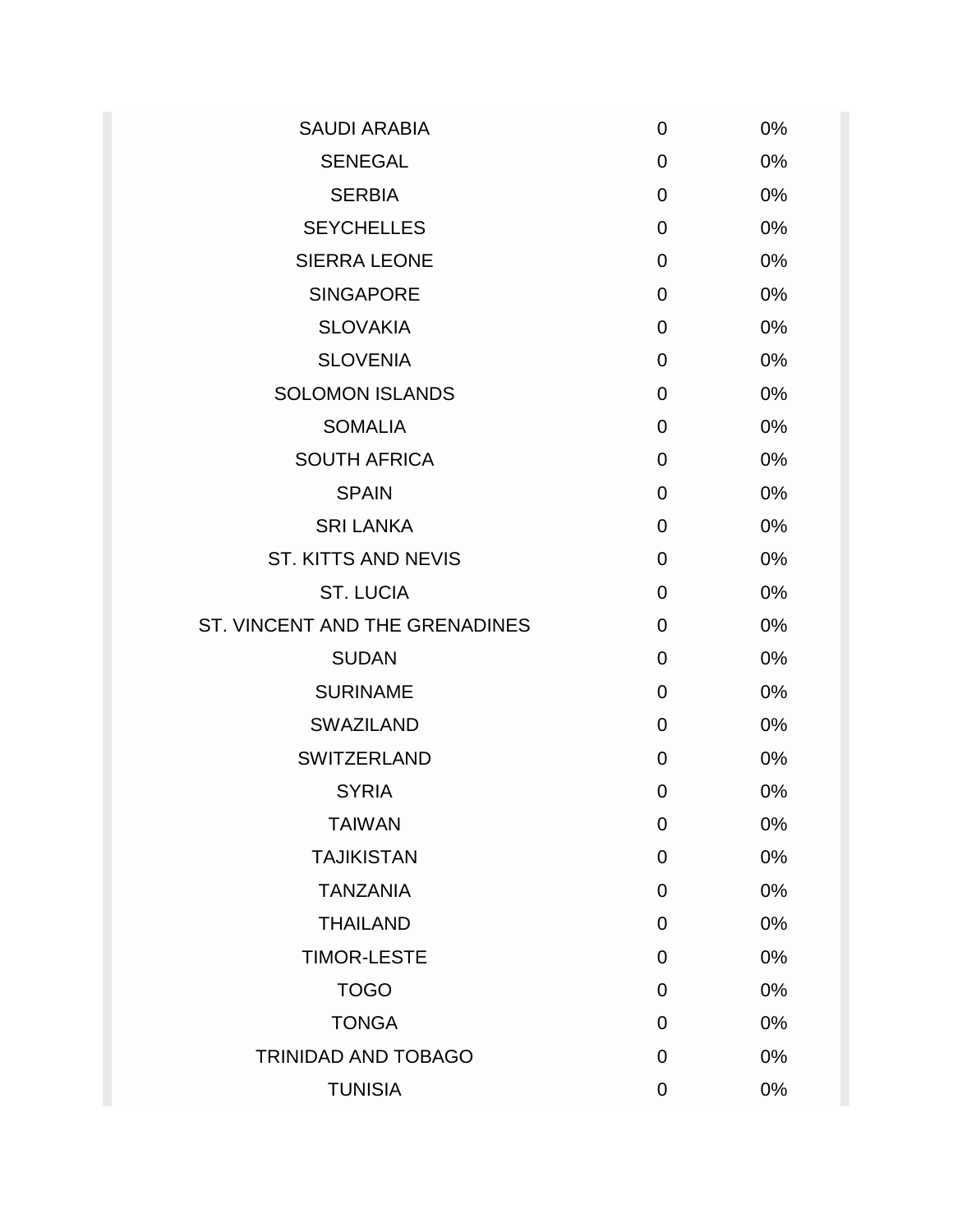| <b>SAUDI ARABIA</b>            | $\mathbf 0$    | 0%    |
|--------------------------------|----------------|-------|
| <b>SENEGAL</b>                 | $\mathbf 0$    | 0%    |
| <b>SERBIA</b>                  | 0              | 0%    |
| <b>SEYCHELLES</b>              | 0              | 0%    |
| <b>SIERRA LEONE</b>            | $\overline{0}$ | 0%    |
| <b>SINGAPORE</b>               | $\overline{0}$ | 0%    |
| <b>SLOVAKIA</b>                | 0              | 0%    |
| <b>SLOVENIA</b>                | 0              | 0%    |
| <b>SOLOMON ISLANDS</b>         | $\overline{0}$ | 0%    |
| <b>SOMALIA</b>                 | 0              | 0%    |
| <b>SOUTH AFRICA</b>            | 0              | 0%    |
| <b>SPAIN</b>                   | 0              | 0%    |
| <b>SRI LANKA</b>               | 0              | 0%    |
| <b>ST. KITTS AND NEVIS</b>     | $\mathbf 0$    | 0%    |
| <b>ST. LUCIA</b>               | $\overline{0}$ | 0%    |
| ST. VINCENT AND THE GRENADINES | $\overline{0}$ | 0%    |
| <b>SUDAN</b>                   | 0              | 0%    |
| <b>SURINAME</b>                | $\overline{0}$ | 0%    |
| <b>SWAZILAND</b>               | 0              | 0%    |
| <b>SWITZERLAND</b>             | 0              | 0%    |
| <b>SYRIA</b>                   | $\mathbf 0$    | 0%    |
| <b>TAIWAN</b>                  | $\mathbf 0$    | 0%    |
| <b>TAJIKISTAN</b>              | $\mathbf 0$    | 0%    |
| <b>TANZANIA</b>                | $\mathbf 0$    | 0%    |
| <b>THAILAND</b>                | $\overline{0}$ | 0%    |
| <b>TIMOR-LESTE</b>             | $\overline{0}$ | 0%    |
| <b>TOGO</b>                    | $\overline{0}$ | 0%    |
| <b>TONGA</b>                   | $\mathbf 0$    | 0%    |
| <b>TRINIDAD AND TOBAGO</b>     | $\overline{0}$ | 0%    |
| <b>TUNISIA</b>                 | $\overline{0}$ | $0\%$ |